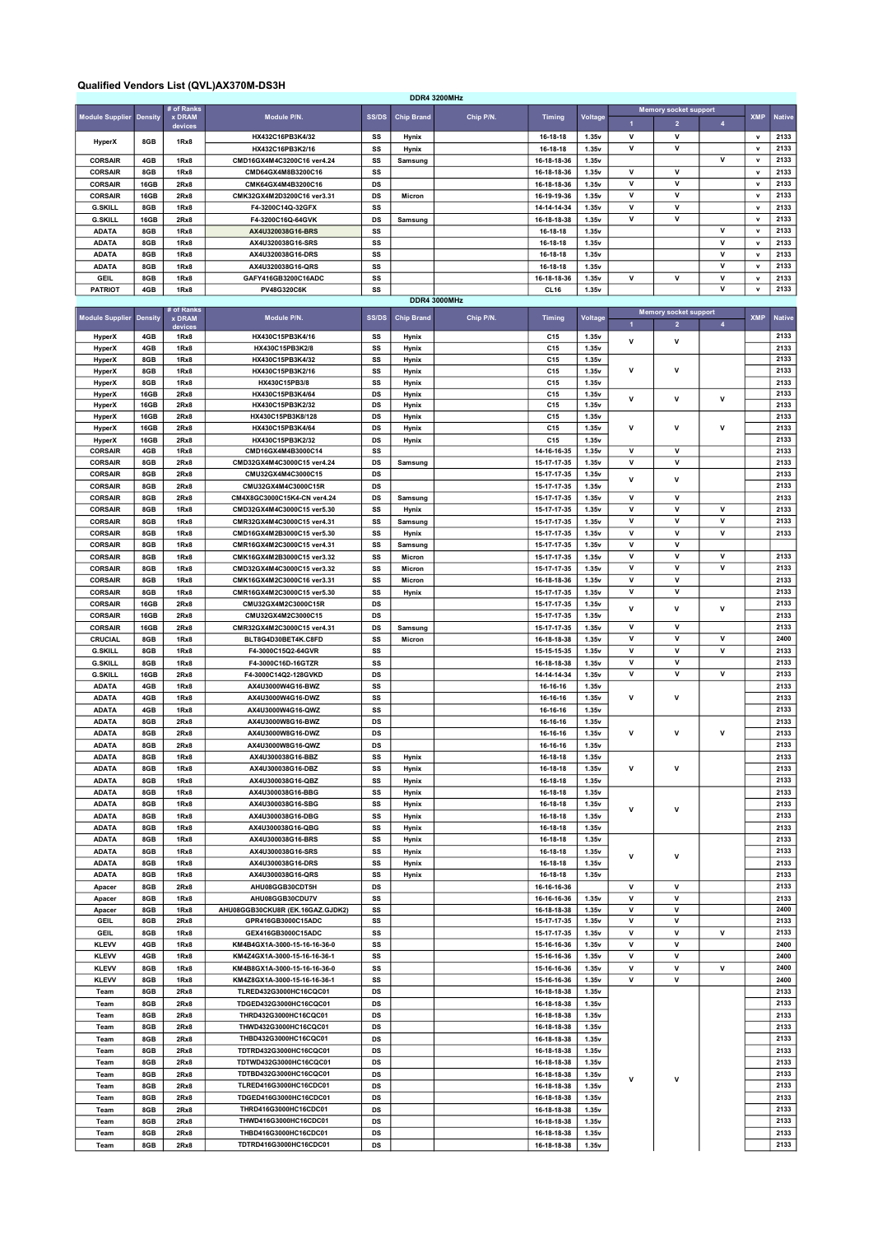## Qualified Vendors List (QVL)AX370M-DS3H

|                        |                |                             |                                  |              |                   | <b>DDR4 3200MHz</b> |                 |                |                |                              |                         |              |               |
|------------------------|----------------|-----------------------------|----------------------------------|--------------|-------------------|---------------------|-----------------|----------------|----------------|------------------------------|-------------------------|--------------|---------------|
| <b>Module Supplier</b> |                | # of Ranks<br><b>x DRAM</b> | Module P/N.                      | <b>SS/DS</b> | <b>Chip Brand</b> | Chip P/N.           |                 |                |                | <b>Memory socket support</b> |                         | <b>XMP</b>   | <b>Native</b> |
|                        | <b>Density</b> | devices                     |                                  |              |                   |                     | <b>Timing</b>   | Voltage        | $\mathbf{1}$   | $\overline{2}$               | $\overline{\mathbf{4}}$ |              |               |
| HyperX                 | 8GB            | 1Rx8                        | HX432C16PB3K4/32                 | SS           | Hynix             |                     | 16-18-18        | 1.35v          | $\mathsf{v}$   | $\mathsf{v}$                 |                         | $\mathbf v$  | 2133          |
|                        |                |                             | HX432C16PB3K2/16                 | SS           | Hynix             |                     | 16-18-18        | 1.35v          | v              | v                            |                         | $\mathsf{v}$ | 2133          |
| <b>CORSAIR</b>         | 4GB            | 1Rx8                        | CMD16GX4M4C3200C16 ver4.24       | SS           | Samsung           |                     | 16-18-18-36     | 1.35v          |                |                              | v                       | $\mathbf v$  | 2133          |
| <b>CORSAIR</b>         | 8GB            | 1Rx8                        | CMD64GX4M8B3200C16               | SS           |                   |                     | 16-18-18-36     | 1.35v          | $\mathsf{v}$   | v                            |                         | $\mathbf{v}$ | 2133          |
| <b>CORSAIR</b>         | 16GB           | 2Rx8                        | CMK64GX4M4B3200C16               | DS           |                   |                     | 16-18-18-36     | 1.35v          | v              | v                            |                         | $\mathsf{v}$ | 2133          |
| <b>CORSAIR</b>         | 16GB           | 2Rx8                        | CMK32GX4M2D3200C16 ver3.31       | DS           | Micron            |                     | 16-19-19-36     | 1.35v          | v              | v                            |                         | $\mathbf v$  | 2133          |
| <b>G.SKILL</b>         | 8GB            | 1Rx8                        | F4-3200C14Q-32GFX                | SS           |                   |                     | 14-14-14-34     | 1.35v          | v              | v                            |                         | $\mathbf{v}$ | 2133          |
| <b>G.SKILL</b>         | 16GB           | 2Rx8                        | F4-3200C16Q-64GVK                | DS           | Samsung           |                     | 16-18-18-38     | 1.35v          | ٧              | ٧                            |                         | $\mathbf v$  | 2133          |
| <b>ADATA</b>           | 8GB            | 1Rx8                        | AX4U320038G16-BRS                | SS           |                   |                     | 16-18-18        | 1.35v          |                |                              | v                       | $\mathbf v$  | 2133          |
| <b>ADATA</b>           | 8GB            | 1Rx8                        | AX4U320038G16-SRS                | SS           |                   |                     | 16-18-18        | 1.35v          |                |                              | v                       | v            | 2133          |
| <b>ADATA</b>           | 8GB            | 1Rx8                        | AX4U320038G16-DRS                | SS           |                   |                     | 16-18-18        | 1.35v          |                |                              | v                       | $\mathsf{v}$ | 2133          |
| <b>ADATA</b>           | 8GB            | 1Rx8                        | AX4U320038G16-QRS                | SS           |                   |                     | 16-18-18        | 1.35v          |                |                              | v                       | $\mathbf v$  | 2133          |
| <b>GEIL</b>            | 8GB            | 1Rx8                        | GAFY416GB3200C16ADC              | SS           |                   |                     | 16-18-18-36     | 1.35v          | ٧              | v                            | ٧                       | v            | 2133          |
| <b>PATRIOT</b>         | 4GB            | 1Rx8                        | PV48G320C6K                      | SS           |                   |                     | <b>CL16</b>     | 1.35v          |                |                              | v                       | $\mathsf{v}$ | 2133          |
|                        |                |                             |                                  |              |                   | <b>DDR4 3000MHz</b> |                 |                |                |                              |                         |              |               |
|                        |                | # of Ranks                  |                                  |              |                   |                     |                 |                |                | <b>Memory socket support</b> |                         |              |               |
| <b>Module Supplier</b> | <b>Density</b> | <b>x DRAM</b><br>device     | Module P/N.                      | <b>SS/DS</b> | <b>Chip Brand</b> | Chip P/N.           | <b>Timing</b>   | <b>Voltage</b> | $\overline{1}$ | $\overline{2}$               | $\overline{\mathbf{4}}$ | <b>XMP</b>   | <b>Native</b> |
| HyperX                 | 4GB            | 1Rx8                        | HX430C15PB3K4/16                 | SS           | Hynix             |                     | C15             | 1.35v          |                |                              |                         |              | 2133          |
| HyperX                 | 4GB            | 1Rx8                        | HX430C15PB3K2/8                  | SS           | Hynix             |                     | C15             | 1.35v          | v              | ٧                            |                         |              | 2133          |
| HyperX                 | 8GB            | 1Rx8                        | HX430C15PB3K4/32                 | SS           | Hynix             |                     | C15             | 1.35v          |                |                              |                         |              | 2133          |
| <b>HyperX</b>          | 8GB            | 1Rx8                        | HX430C15PB3K2/16                 | SS           | Hynix             |                     | C15             | 1.35v          | ٧              | v                            |                         |              | 2133          |
| <b>HyperX</b>          | 8GB            | 1Rx8                        | HX430C15PB3/8                    | SS           | Hynix             |                     | C15             | 1.35v          |                |                              |                         |              | 2133          |
| <b>HyperX</b>          | 16GB           | 2Rx8                        | HX430C15PB3K4/64                 | DS           | Hynix             |                     | C15             | 1.35v          |                |                              |                         |              | 2133          |
| HyperX                 | 16GB           | 2Rx8                        | HX430C15PB3K2/32                 | DS           | Hynix             |                     | C15             | 1.35v          | v              | v                            | $\mathsf{v}$            |              | 2133          |
|                        | 16GB           |                             | HX430C15PB3K8/128                | DS           |                   |                     | C15             |                |                |                              |                         |              | 2133          |
| HyperX                 |                | 2Rx8                        |                                  |              | Hynix             |                     |                 | 1.35v          | ٧              | v                            | v                       |              |               |
| <b>HyperX</b>          | 16GB           | 2Rx8                        | HX430C15PB3K4/64                 | DS           | Hynix             |                     | C <sub>15</sub> | 1.35v          |                |                              |                         |              | 2133          |
| <b>HyperX</b>          | 16GB           | 2Rx8                        | HX430C15PB3K2/32                 | <b>DS</b>    | Hynix             |                     | C15             | 1.35v          |                |                              |                         |              | 2133          |
| <b>CORSAIR</b>         | 4GB            | 1Rx8                        | CMD16GX4M4B3000C14               | SS           |                   |                     | 14-16-16-35     | 1.35v          | v              | $\mathsf{v}$                 |                         |              | 2133          |
| <b>CORSAIR</b>         | 8GB            | 2Rx8                        | CMD32GX4M4C3000C15 ver4.24       | DS           | Samsung           |                     | 15-17-17-35     | 1.35v          | v              | $\mathsf{v}$                 |                         |              | 2133          |
| <b>CORSAIR</b>         | 8GB            | 2Rx8                        | CMU32GX4M4C3000C15               | DS           |                   |                     | 15-17-17-35     | 1.35v          | v              | v                            |                         |              | 2133          |
| <b>CORSAIR</b>         | 8GB            | 2Rx8                        | CMU32GX4M4C3000C15R              | <b>DS</b>    |                   |                     | 15-17-17-35     | 1.35v          |                |                              |                         |              | 2133          |
| <b>CORSAIR</b>         | 8GB            | 2Rx8                        | CM4X8GC3000C15K4-CN ver4.24      | DS           | Samsung           |                     | 15-17-17-35     | 1.35v          | $\mathsf{v}$   | $\mathsf{v}$                 |                         |              | 2133          |
| <b>CORSAIR</b>         | 8GB            | 1Rx8                        | CMD32GX4M4C3000C15 ver5.30       | SS           | Hynix             |                     | 15-17-17-35     | 1.35v          | ٧              | v                            | v                       |              | 2133          |
| <b>CORSAIR</b>         | 8GB            | 1Rx8                        | CMR32GX4M4C3000C15 ver4.31       | SS           | Samsung           |                     | 15-17-17-35     | 1.35v          | v              | v                            | v                       |              | 2133          |
| <b>CORSAIR</b>         | 8GB            | 1Rx8                        | CMD16GX4M2B3000C15 ver5.30       | SS           | Hynix             |                     | 15-17-17-35     | 1.35v          | v              | $\mathsf{v}$                 | v                       |              | 2133          |
| <b>CORSAIR</b>         | 8GB            | 1Rx8                        | CMR16GX4M2C3000C15 ver4.31       | SS           | Samsung           |                     | 15-17-17-35     | 1.35v          | ٧              | v                            |                         |              |               |
| <b>CORSAIR</b>         | 8GB            | 1Rx8                        | CMK16GX4M2B3000C15 ver3.32       | SS           | Micron            |                     | 15-17-17-35     | 1.35v          | v              | $\mathsf{v}$                 | v                       |              | 2133          |
| <b>CORSAIR</b>         | 8GB            | 1Rx8                        | CMD32GX4M4C3000C15 ver3.32       | SS           | Micron            |                     | 15-17-17-35     | 1.35v          | v              | v                            | v                       |              | 2133          |
|                        |                |                             |                                  |              |                   |                     |                 |                | v              | $\mathsf{v}$                 |                         |              |               |
| <b>CORSAIR</b>         | 8GB            | 1Rx8                        | CMK16GX4M2C3000C16 ver3.31       | SS           | Micron            |                     | 16-18-18-36     | 1.35v          |                |                              |                         |              | 2133          |
| <b>CORSAIR</b>         | 8GB            | 1Rx8                        | CMR16GX4M2C3000C15 ver5.30       | SS           | Hynix             |                     | 15-17-17-35     | 1.35v          | v              | $\mathsf{v}$                 |                         |              | 2133          |
| <b>CORSAIR</b>         | 16GB           | 2Rx8                        | CMU32GX4M2C3000C15R              | DS           |                   |                     | 15-17-17-35     | 1.35v          | v              | v                            | v                       |              | 2133          |
| <b>CORSAIR</b>         | 16GB           | 2Rx8                        | CMU32GX4M2C3000C15               | DS           |                   |                     | 15-17-17-35     | 1.35v          |                |                              |                         |              | 2133          |
| <b>CORSAIR</b>         | 16GB           | 2Rx8                        | CMR32GX4M2C3000C15 ver4.31       | DS           | Samsung           |                     | 15-17-17-35     | 1.35v          | v              | $\mathsf{v}$                 |                         |              | 2133          |
| CRUCIAL                | 8GB            | 1Rx8                        | BLT8G4D30BET4K.C8FD              | SS           | Micron            |                     | 16-18-18-38     | 1.35v          | v              | v                            | v                       |              | 2400          |
| <b>G.SKILL</b>         | 8GB            | 1Rx8                        | F4-3000C15Q2-64GVR               | SS           |                   |                     | 15-15-15-35     | 1.35v          | v              | $\mathsf{v}$                 | v                       |              | 2133          |
| <b>G.SKILL</b>         | 8GB            | 1Rx8                        | F4-3000C16D-16GTZR               | SS           |                   |                     | 16-18-18-38     | 1.35v          | v              | v                            |                         |              | 2133          |
| <b>G.SKILL</b>         | 16GB           | 2Rx8                        | F4-3000C14Q2-128GVKD             | DS           |                   |                     | 14-14-14-34     | 1.35v          | v              | V                            | ٧                       |              | 2133          |
| <b>ADATA</b>           | 4GB            | 1Rx8                        | AX4U3000W4G16-BWZ                | SS           |                   |                     | 16-16-16        | 1.35v          |                |                              |                         |              | 2133          |
| <b>ADATA</b>           | 4GB            | 1Rx8                        | AX4U3000W4G16-DWZ                | SS           |                   |                     | 16-16-16        | 1.35v          | v              | $\mathbf v$                  |                         |              | 2133          |
| <b>ADATA</b>           | 4GB            | 1Rx8                        | AX4U3000W4G16-QWZ                | SS           |                   |                     | 16-16-16        | 1.35v          |                |                              |                         |              | 2133          |
| <b>ADATA</b>           | 8GB            | 2Rx8                        | AX4U3000W8G16-BWZ                | DS           |                   |                     | 16-16-16        | 1.35v          |                |                              |                         |              | 2133          |
| <b>ADATA</b>           | 8GB            | 2Rx8                        | AX4U3000W8G16-DWZ                | DS           |                   |                     | 16-16-16        | 1.35v          | ٧              | v                            | v                       |              | 2133          |
| <b>ADATA</b>           | 8GB            | 2Rx8                        | AX4U3000W8G16-QWZ                | DS           |                   |                     | 16-16-16        | 1.35v          |                |                              |                         |              | 2133          |
|                        |                |                             |                                  |              |                   |                     |                 |                |                |                              |                         |              | 2133          |
| <b>ADATA</b>           | 8GB            | 1Rx8                        | AX4U300038G16-BBZ                | SS           | Hynix             |                     | 16-18-18        | 1.35v          |                |                              |                         |              |               |
| <b>ADATA</b>           | 8GB            | 1Rx8                        | AX4U300038G16-DBZ                | SS           | Hynix             |                     | 16-18-18        | 1.35v          | V              | v                            |                         |              | 2133          |
| <b>ADATA</b>           | 8GB            | 1Rx8                        | AX4U300038G16-QBZ                | SS           | Hynix             |                     | 16-18-18        | 1.35v          |                |                              |                         |              | 2133          |
| <b>ADATA</b>           | 8GB            | 1Rx8                        | AX4U300038G16-BBG                | SS           | Hynix             |                     | 16-18-18        | 1.35v          |                |                              |                         |              | 2133          |
| <b>ADATA</b>           | 8GB            | 1Rx8                        | AX4U300038G16-SBG                | SS           | Hynix             |                     | 16-18-18        | 1.35v          | V              | $\mathbf v$                  |                         |              | 2133          |
| <b>ADATA</b>           | 8GB            | 1Rx8                        | AX4U300038G16-DBG                | SS           | Hynix             |                     | 16-18-18        | 1.35v          |                |                              |                         |              | 2133          |
| <b>ADATA</b>           | 8GB            | 1Rx8                        | AX4U300038G16-QBG                | SS           | Hynix             |                     | 16-18-18        | 1.35v          |                |                              |                         |              | 2133          |
| <b>ADATA</b>           | 8GB            | 1Rx8                        | AX4U300038G16-BRS                | SS           | Hynix             |                     | 16-18-18        | 1.35v          |                |                              |                         |              | 2133          |
| <b>ADATA</b>           | 8GB            | 1Rx8                        | AX4U300038G16-SRS                | SS           | Hynix             |                     | 16-18-18        | 1.35v          |                |                              |                         |              | 2133          |
| <b>ADATA</b>           | 8GB            | 1Rx8                        | AX4U300038G16-DRS                | SS           | Hynix             |                     | 16-18-18        | 1.35v          | v              | V                            |                         |              | 2133          |
| <b>ADATA</b>           | 8GB            | 1Rx8                        | AX4U300038G16-QRS                | SS           | Hynix             |                     | 16-18-18        | 1.35v          |                |                              |                         |              | 2133          |
| Apacer                 | 8GB            | 2Rx8                        | AHU08GGB30CDT5H                  | DS           |                   |                     | 16-16-16-36     |                | v              | v                            |                         |              | 2133          |
| Apacer                 | 8GB            | 1Rx8                        | AHU08GGB30CDU7V                  | SS           |                   |                     | 16-16-16-36     | 1.35v          | ٧              | v                            |                         |              | 2133          |
| Apacer                 | 8GB            | 1Rx8                        | AHU08GGB30CKU8R (EK.16GAZ.GJDK2) | SS           |                   |                     | 16-18-18-38     | 1.35v          | v              | v                            |                         |              | 2400          |
| GEIL                   | 8GB            | 2Rx8                        | GPR416GB3000C15ADC               | SS           |                   |                     | 15-17-17-35     | 1.35v          | v              | v                            |                         |              | 2133          |
| <b>GEIL</b>            | 8GB            | 1Rx8                        | GEX416GB3000C15ADC               | SS           |                   |                     | 15-17-17-35     | 1.35v          | V              | v                            | ${\mathsf v}$           |              | 2133          |
| <b>KLEVV</b>           | 4GB            | 1Rx8                        | KM4B4GX1A-3000-15-16-16-36-0     | SS           |                   |                     | 15-16-16-36     | 1.35v          | ٧              | v                            |                         |              | 2400          |
|                        |                |                             |                                  |              |                   |                     |                 |                | v              | $\mathsf{v}$                 |                         |              | 2400          |
| <b>KLEVV</b>           | 4GB            | 1Rx8                        | KM4Z4GX1A-3000-15-16-16-36-1     | SS           |                   |                     | 15-16-16-36     | 1.35v          |                |                              |                         |              |               |
| <b>KLEVV</b>           | 8GB            | 1Rx8                        | KM4B8GX1A-3000-15-16-16-36-0     | SS           |                   |                     | 15-16-16-36     | 1.35v          | ٧              | v                            | $\mathsf{v}$            |              | 2400          |
| <b>KLEVV</b>           | 8GB            | 1Rx8                        | KM4Z8GX1A-3000-15-16-16-36-1     | SS           |                   |                     | 15-16-16-36     | 1.35v          | ٧              | v                            |                         |              | 2400          |
| Team                   | 8GB            | 2Rx8                        | TLRED432G3000HC16CQC01           | DS           |                   |                     | 16-18-18-38     | 1.35v          |                |                              |                         |              | 2133          |
| Team                   | 8GB            | 2Rx8                        | TDGED432G3000HC16CQC01           | DS           |                   |                     | 16-18-18-38     | 1.35v          |                |                              |                         |              | 2133          |
| Team                   | 8GB            | 2Rx8                        | THRD432G3000HC16CQC01            | DS           |                   |                     | 16-18-18-38     | 1.35v          |                |                              |                         |              | 2133          |
| Team                   | 8GB            | 2Rx8                        | THWD432G3000HC16CQC01            | DS           |                   |                     | 16-18-18-38     | 1.35v          |                |                              |                         |              | 2133          |
| Team                   | 8GB            | 2Rx8                        | THBD432G3000HC16CQC01            | DS           |                   |                     | 16-18-18-38     | 1.35v          |                |                              |                         |              | 2133          |
| Team                   | 8GB            | 2Rx8                        | TDTRD432G3000HC16CQC01           | DS           |                   |                     | 16-18-18-38     | 1.35v          |                |                              |                         |              | 2133          |
| Team                   | 8GB            | 2Rx8                        | TDTWD432G3000HC16CQC01           | DS           |                   |                     | 16-18-18-38     | 1.35v          |                |                              |                         |              | 2133          |
| Team                   | 8GB            | 2Rx8                        | TDTBD432G3000HC16CQC01           | DS           |                   |                     | 16-18-18-38     | 1.35v          |                |                              |                         |              | 2133          |
| Team                   | 8GB            | 2Rx8                        | TLRED416G3000HC16CDC01           | DS           |                   |                     | 16-18-18-38     | 1.35v          | v              | v                            |                         |              | 2133          |
| Team                   | 8GB            | 2Rx8                        | TDGED416G3000HC16CDC01           | DS           |                   |                     | 16-18-18-38     | 1.35v          |                |                              |                         |              | 2133          |
| Team                   | 8GB            | 2Rx8                        | THRD416G3000HC16CDC01            | DS           |                   |                     | 16-18-18-38     | 1.35v          |                |                              |                         |              | 2133          |
| Team                   | 8GB            | 2Rx8                        | THWD416G3000HC16CDC01            | DS           |                   |                     | 16-18-18-38     | 1.35v          |                |                              |                         |              | 2133          |
|                        |                |                             |                                  | DS           |                   |                     |                 |                |                |                              |                         |              | 2133          |
| Team                   | 8GB            | 2Rx8                        | THBD416G3000HC16CDC01            |              |                   |                     | 16-18-18-38     | 1.35v          |                |                              |                         |              |               |
| Team                   | 8GB            | 2Rx8                        | TDTRD416G3000HC16CDC01           | DS           |                   |                     | 16-18-18-38     | 1.35v          |                |                              |                         |              | 2133          |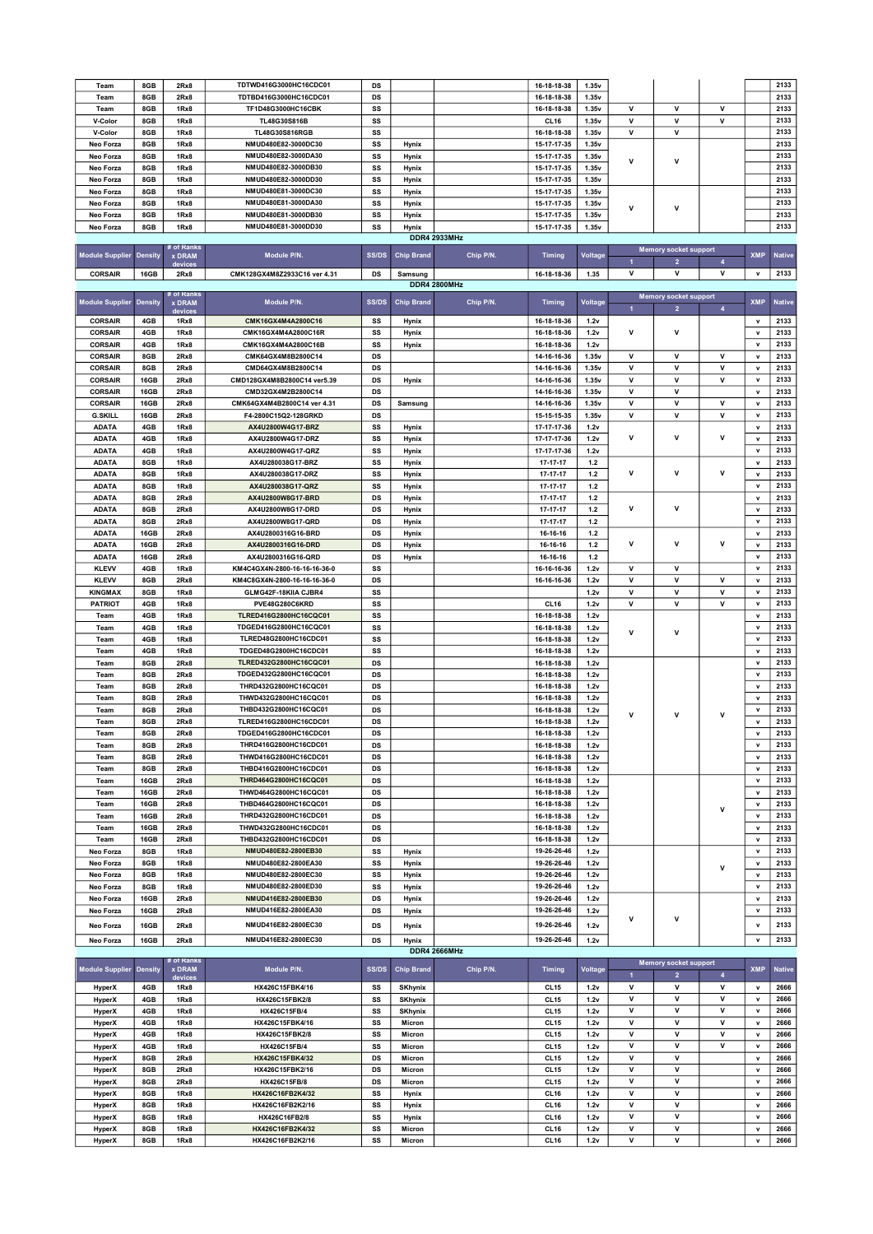| Team                           |                |                      |                                      |              |                   |                     |                            |                |                |                              |                         |                  |               |
|--------------------------------|----------------|----------------------|--------------------------------------|--------------|-------------------|---------------------|----------------------------|----------------|----------------|------------------------------|-------------------------|------------------|---------------|
|                                | 8GB            | 2Rx8                 | TDTWD416G3000HC16CDC01               | DS           |                   |                     | 16-18-18-38                | 1.35v          |                |                              |                         |                  | 2133          |
| Team                           | 8GB            | 2Rx8                 | TDTBD416G3000HC16CDC01               | DS           |                   |                     | 16-18-18-38                | 1.35v          |                |                              |                         |                  | 2133          |
| Team                           | 8GB            | 1Rx8                 | TF1D48G3000HC16CBK                   | SS           |                   |                     | 16-18-18-38                | 1.35v          | v              | V                            | v                       |                  | 2133          |
| V-Color                        | 8GB            | 1Rx8                 | TL48G30S816B                         | SS           |                   |                     |                            | 1.35v          | $\mathbf v$    | $\mathsf{v}$                 | $\mathsf{v}$            |                  | 2133          |
|                                |                |                      |                                      |              |                   |                     | CL <sub>16</sub>           |                |                |                              |                         |                  |               |
| V-Color                        | 8GB            | 1Rx8                 | TL48G30S816RGB                       | SS           |                   |                     | 16-18-18-38                | 1.35v          | V              | $\mathsf{v}$                 |                         |                  | 2133          |
| Neo Forza                      | 8GB            | 1Rx8                 | NMUD480E82-3000DC30                  | SS           | Hynix             |                     | 15-17-17-35                | 1.35v          |                |                              |                         |                  | 2133          |
| Neo Forza                      | 8GB            | 1Rx8                 | NMUD480E82-3000DA30                  | SS           | Hynix             |                     | 15-17-17-35                | 1.35v          |                |                              |                         |                  | 2133          |
| Neo Forza                      | 8GB            | 1Rx8                 | NMUD480E82-3000DB30                  | SS           | Hynix             |                     | 15-17-17-35                | 1.35v          | v              | v                            |                         |                  | 2133          |
|                                |                |                      |                                      |              |                   |                     |                            |                |                |                              |                         |                  |               |
| Neo Forza                      | 8GB            | 1Rx8                 | NMUD480E82-3000DD30                  | SS           | Hynix             |                     | 15-17-17-35                | 1.35v          |                |                              |                         |                  | 2133          |
| Neo Forza                      | 8GB            | 1Rx8                 | NMUD480E81-3000DC30                  | SS           | Hynix             |                     | 15-17-17-35                | 1.35v          |                |                              |                         |                  | 2133          |
| Neo Forza                      | 8GB            | 1Rx8                 | NMUD480E81-3000DA30                  | SS           | Hynix             |                     | 15-17-17-35                | 1.35v          |                |                              |                         |                  | 2133          |
| Neo Forza                      | 8GB            | 1Rx8                 | NMUD480E81-3000DB30                  | SS           | Hynix             |                     | 15-17-17-35                | 1.35v          | ٧              | $\mathsf{v}$                 |                         |                  | 2133          |
|                                |                |                      | NMUD480E81-3000DD30                  |              |                   |                     |                            |                |                |                              |                         |                  | 2133          |
| Neo Forza                      | 8GB            | 1Rx8                 |                                      | SS           | Hynix             |                     | 15-17-17-35                | 1.35v          |                |                              |                         |                  |               |
|                                |                |                      |                                      |              |                   | <b>DDR4 2933MHz</b> |                            |                |                |                              |                         |                  |               |
|                                |                | # of Ranks<br>x DRAM | Module P/N.                          | <b>SS/DS</b> | <b>Chip Brand</b> | Chip P/N.           |                            | <b>Voltage</b> |                | <b>Memory socket support</b> |                         | <b>XMP</b>       | <b>Native</b> |
| <b>Module Supplier</b>         | <b>Density</b> | devices              |                                      |              |                   |                     | <b>Timing</b>              |                | $\overline{1}$ | $\overline{\mathbf{2}}$      | $\overline{\mathbf{4}}$ |                  |               |
| <b>CORSAIR</b>                 | 16GB           | 2Rx8                 | CMK128GX4M8Z2933C16 ver 4.31         | DS           | Samsung           |                     | 16-18-18-36                | 1.35           | ٧              | ٧                            | ۷                       | v                | 2133          |
|                                |                |                      |                                      |              |                   | <b>DDR4 2800MHz</b> |                            |                |                |                              |                         |                  |               |
|                                |                | # of Ranks           |                                      |              |                   |                     |                            |                |                |                              |                         |                  |               |
| <b>Module Supplier</b>         | <b>Density</b> | x DRAM               | Module P/N.                          | <b>SS/DS</b> | <b>Chip Brand</b> | Chip P/N.           | <b>Timing</b>              | <b>Voltage</b> |                | <b>Memory socket support</b> |                         | <b>XMP</b>       | <b>Native</b> |
|                                |                | devices              |                                      |              |                   |                     |                            |                | $\blacksquare$ | $\overline{2}$               | 4                       |                  |               |
| <b>CORSAIR</b>                 | 4GB            | 1Rx8                 | CMK16GX4M4A2800C16                   | SS           | Hynix             |                     | 16-18-18-36                | 1.2v           |                |                              |                         | $\mathbf v$      | 2133          |
|                                |                |                      |                                      |              |                   |                     |                            |                | v              | v                            |                         | v                | 2133          |
| <b>CORSAIR</b>                 | 4GB            | 1Rx8                 | CMK16GX4M4A2800C16R                  | SS           | Hynix             |                     | 16-18-18-36                | 1.2v           |                |                              |                         |                  |               |
| <b>CORSAIR</b>                 | 4GB            | 1Rx8                 | CMK16GX4M4A2800C16B                  | SS           | Hynix             |                     | 16-18-18-36                | 1.2v           |                |                              |                         | $\mathbf v$      | 2133          |
| <b>CORSAIR</b>                 | 8GB            | 2Rx8                 | CMK64GX4M8B2800C14                   | DS           |                   |                     | 14-16-16-36                | 1.35v          | V              | v                            | v                       | $\mathbf v$      | 2133          |
| <b>CORSAIR</b>                 | 8GB            | 2Rx8                 | CMD64GX4M8B2800C14                   | DS           |                   |                     | 14-16-16-36                | 1.35v          | V              | v                            | $\mathsf{v}$            | v                | 2133          |
|                                |                |                      |                                      |              |                   |                     |                            |                |                |                              |                         |                  |               |
| <b>CORSAIR</b>                 | 16GB           | 2Rx8                 | CMD128GX4M8B2800C14 ver5.39          | DS           | Hynix             |                     | 14-16-16-36                | 1.35v          | V              | $\mathsf{v}$                 | $\mathsf{v}$            | $\mathbf v$      | 2133          |
| <b>CORSAIR</b>                 | 16GB           | 2Rx8                 | CMD32GX4M2B2800C14                   | DS           |                   |                     | 14-16-16-36                | 1.35v          | v              | v                            |                         | $\mathbf v$      | 2133          |
| <b>CORSAIR</b>                 | 16GB           | 2Rx8                 | CMK64GX4M4B2800C14 ver 4.31          | DS           | Samsung           |                     | 14-16-16-36                | 1.35v          | V              | V                            | v                       | v                | 2133          |
|                                |                |                      |                                      |              |                   |                     |                            |                |                |                              |                         |                  |               |
| <b>G.SKILL</b>                 | 16GB           | 2Rx8                 | F4-2800C15Q2-128GRKD                 | DS           |                   |                     | 15-15-15-35                | 1.35v          | V              | $\mathsf{v}$                 | $\mathsf{v}$            | $\mathbf v$      | 2133          |
| <b>ADATA</b>                   | 4GB            | 1Rx8                 | AX4U2800W4G17-BRZ                    | SS           | Hynix             |                     | 17-17-17-36                | 1.2v           |                |                              |                         | v                | 2133          |
| <b>ADATA</b>                   | 4GB            | 1Rx8                 | AX4U2800W4G17-DRZ                    | SS           | Hynix             |                     | 17-17-17-36                | 1.2v           | V              | V                            | v                       | v                | 2133          |
|                                |                |                      |                                      |              |                   |                     |                            |                |                |                              |                         |                  |               |
| <b>ADATA</b>                   | 4GB            | 1Rx8                 | AX4U2800W4G17-QRZ                    | SS           | Hynix             |                     | 17-17-17-36                | 1.2v           |                |                              |                         | $\mathbf{v}$     | 2133          |
| <b>ADATA</b>                   | 8GB            | 1Rx8                 | AX4U280038G17-BRZ                    | SS           | Hynix             |                     | 17-17-17                   | $1.2$          |                |                              |                         | v                | 2133          |
| <b>ADATA</b>                   | 8GB            | 1Rx8                 | AX4U280038G17-DRZ                    | SS           | Hynix             |                     | 17-17-17                   | $1.2$          | v              | V                            | v                       | $\mathbf v$      | 2133          |
|                                |                |                      |                                      |              |                   |                     |                            |                |                |                              |                         | v                | 2133          |
| <b>ADATA</b>                   | 8GB            | 1Rx8                 | AX4U280038G17-QRZ                    | SS           | Hynix             |                     | 17-17-17                   | $1.2$          |                |                              |                         |                  |               |
| <b>ADATA</b>                   | 8GB            | 2Rx8                 | AX4U2800W8G17-BRD                    | DS           | Hynix             |                     | 17-17-17                   | $1.2$          |                |                              |                         | v                | 2133          |
| <b>ADATA</b>                   | 8GB            | 2Rx8                 | AX4U2800W8G17-DRD                    | DS           | Hynix             |                     | 17-17-17                   | $1.2$          | v              | V                            |                         | $\mathbf v$      | 2133          |
|                                |                |                      |                                      |              |                   |                     |                            |                |                |                              |                         | $\mathbf{v}$     | 2133          |
| <b>ADATA</b>                   | 8GB            | 2Rx8                 | AX4U2800W8G17-QRD                    | DS           | Hynix             |                     | 17-17-17                   | $1.2$          |                |                              |                         |                  |               |
| <b>ADATA</b>                   | 16GB           | 2Rx8                 | AX4U2800316G16-BRD                   | DS           | Hynix             |                     | 16-16-16                   | $1.2$          |                |                              |                         | v                | 2133          |
| <b>ADATA</b>                   | 16GB           | 2Rx8                 | AX4U2800316G16-DRD                   | DS           | Hynix             |                     | 16-16-16                   | $1.2$          | ٧              | $\mathsf{v}$                 | v                       | $\mathbf v$      | 2133          |
|                                |                |                      |                                      |              |                   |                     |                            |                |                |                              |                         |                  |               |
| <b>ADATA</b>                   | 16GB           | 2Rx8                 | AX4U2800316G16-QRD                   | DS           | Hynix             |                     | 16-16-16                   | $1.2$          |                |                              |                         | v                | 2133          |
| <b>KLEVV</b>                   | 4GB            | 1Rx8                 | KM4C4GX4N-2800-16-16-16-36-0         | SS           |                   |                     | 16-16-16-36                | 1.2v           | v              | V                            |                         | $\mathbf v$      | 2133          |
| <b>KLEVV</b>                   | 8GB            | 2Rx8                 | KM4C8GX4N-2800-16-16-16-36-0         | DS           |                   |                     | 16-16-16-36                | 1.2v           | v              | $\mathsf{v}$                 | $\mathsf{v}$            | $\mathbf v$      | 2133          |
|                                |                |                      |                                      |              |                   |                     |                            |                |                |                              |                         |                  |               |
| <b>KINGMAX</b>                 | 8GB            | 1Rx8                 | GLMG42F-18KIIA CJBR4                 | SS           |                   |                     |                            | 1.2v           | ٧              | v                            | v                       | v                | 2133          |
| <b>PATRIOT</b>                 | 4GB            | 1Rx8                 | PVE48G280C6KRD                       | SS           |                   |                     | CL <sub>16</sub>           | 1.2v           | v              | $\mathsf{v}$                 | v                       | $\mathbf v$      | 2133          |
| Team                           | 4GB            | 1Rx8                 | TLRED416G2800HC16CQC01               | SS           |                   |                     | 16-18-18-38                | 1.2v           |                |                              |                         | $\mathbf v$      | 2133          |
| Team                           | 4GB            | 1Rx8                 | TDGED416G2800HC16CQC01               | SS           |                   |                     | 16-18-18-38                | 1.2v           |                |                              |                         | v                | 2133          |
|                                |                |                      |                                      |              |                   |                     |                            |                | v              | v                            |                         |                  |               |
| Team                           | 4GB            | 1Rx8                 | TLRED48G2800HC16CDC01                | SS           |                   |                     | 16-18-18-38                | 1.2v           |                |                              |                         | $\mathbf v$      | 2133          |
| Team                           | 4GB            | 1Rx8                 | TDGED48G2800HC16CDC01                | SS           |                   |                     | 16-18-18-38                | 1.2v           |                |                              |                         | $\mathbf v$      | 2133          |
| Team                           | 8GB            | 2Rx8                 | TLRED432G2800HC16CQC01               | DS           |                   |                     | 16-18-18-38                | 1.2v           |                |                              |                         | v                | 2133          |
|                                |                |                      |                                      |              |                   |                     |                            |                |                |                              |                         |                  |               |
| Team                           | 8GB            | 2Rx8                 | TDGED432G2800HC16CQC01               | DS           |                   |                     | 16-18-18-38                | 1.2v           |                |                              |                         | $\mathbf v$      | 2133          |
| Team                           | 8GB            | 2Rx8                 | THRD432G2800HC16CQC01                | DS           |                   |                     | 16-18-18-38                | 1.2v           |                |                              |                         | v                | 2133          |
| Team                           | 8GB            | 2Rx8                 | THWD432G2800HC16CQC01                | DS           |                   |                     | 16-18-18-38                | 1.2v           |                |                              |                         | v                | 2133          |
| Team                           | 8GB            | 2Rx8                 | THBD432G2800HC16CQC01                | DS           |                   |                     | 16-18-18-38                | 1.2v           |                |                              |                         | $\mathbf{v}$     | 2133          |
|                                |                |                      |                                      |              |                   |                     |                            |                | v              | $\mathbf v$                  |                         |                  |               |
| Team                           | 8GB            |                      |                                      |              |                   |                     |                            |                |                |                              | v                       |                  |               |
|                                |                | 2Rx8                 | TLRED416G2800HC16CDC01               | DS           |                   |                     | 16-18-18-38                | 1.2v           |                |                              |                         | $\mathbf v$      | 2133          |
| Team                           | 8GB            | 2Rx8                 | TDGED416G2800HC16CDC01               | DS           |                   |                     | 16-18-18-38                | 1.2v           |                |                              |                         | v                | 2133          |
|                                |                |                      |                                      |              |                   |                     |                            |                |                |                              |                         |                  |               |
| Team                           | 8GB            | 2Rx8                 | THRD416G2800HC16CDC01                | DS           |                   |                     | 16-18-18-38                | 1.2v           |                |                              |                         | v                | 2133          |
| Team                           | 8GB            | 2Rx8                 | THWD416G2800HC16CDC01                | DS           |                   |                     | 16-18-18-38                | 1.2v           |                |                              |                         | v                | 2133          |
| Team                           | 8GB            | 2Rx8                 | THBD416G2800HC16CDC01                | DS           |                   |                     | 16-18-18-38                | 1.2v           |                |                              |                         | $\mathbf v$      | 2133          |
| Team                           | 16GB           | 2Rx8                 | THRD464G2800HC16CQC01                | DS           |                   |                     | 16-18-18-38                | 1.2v           |                |                              |                         | v                | 2133          |
|                                |                |                      |                                      |              |                   |                     |                            |                |                |                              |                         |                  |               |
| Team                           | 16GB           | 2Rx8                 | THWD464G2800HC16CQC01                | DS           |                   |                     | 16-18-18-38                | 1.2v           |                |                              |                         | v                | 2133          |
| Team                           | 16GB           | 2Rx8                 | THBD464G2800HC16CQC01                | <b>DS</b>    |                   |                     | 16-18-18-38                | 1.2v           |                |                              | v                       | v                | 2133          |
| Team                           | 16GB           | 2Rx8                 | THRD432G2800HC16CDC01                | DS           |                   |                     | 16-18-18-38                | 1.2v           |                |                              |                         | v                | 2133          |
|                                | 16GB           | 2Rx8                 | THWD432G2800HC16CDC01                | DS           |                   |                     |                            | 1.2v           |                |                              |                         | v                | 2133          |
| Team                           |                |                      |                                      |              |                   |                     | 16-18-18-38                |                |                |                              |                         |                  |               |
| Team                           | 16GB           | 2Rx8                 | THBD432G2800HC16CDC01                | DS           |                   |                     | 16-18-18-38                | 1.2v           |                |                              |                         | $\mathbf v$      | 2133          |
| Neo Forza                      | 8GB            | 1Rx8                 | NMUD480E82-2800EB30                  | SS           | Hynix             |                     | 19-26-26-46                | 1.2v           |                |                              |                         | v                | 2133          |
| Neo Forza                      | 8GB            | 1Rx8                 | NMUD480E82-2800EA30                  | SS           | Hynix             |                     | 19-26-26-46                | 1.2v           |                |                              |                         | $\mathbf v$      | 2133          |
|                                | 8GB            | 1Rx8                 | NMUD480E82-2800EC30                  | SS           |                   |                     |                            |                |                |                              | $\mathsf{v}$            |                  | 2133          |
| Neo Forza                      |                |                      |                                      |              | Hynix             |                     | 19-26-26-46                | 1.2v           |                |                              |                         | v                |               |
| Neo Forza                      | 8GB            | 1Rx8                 | NMUD480E82-2800ED30                  | SS           | Hynix             |                     | 19-26-26-46                | 1.2v           |                |                              |                         | v                | 2133          |
| Neo Forza                      | 16GB           | 2Rx8                 | NMUD416E82-2800EB30                  | DS           | Hynix             |                     | 19-26-26-46                | 1.2v           |                |                              |                         | $\mathbf v$      | 2133          |
| Neo Forza                      | 16GB           | 2Rx8                 | NMUD416E82-2800EA30                  | DS           | Hynix             |                     | 19-26-26-46                | 1.2v           |                |                              |                         | v                | 2133          |
|                                |                |                      |                                      |              |                   |                     |                            |                | ٧              | $\mathsf{v}$                 |                         |                  |               |
| Neo Forza                      | 16GB           | 2Rx8                 | NMUD416E82-2800EC30                  | DS           | Hynix             |                     | 19-26-26-46                | 1.2v           |                |                              |                         | v                | 2133          |
|                                |                |                      | NMUD416E82-2800EC30                  |              |                   |                     | 19-26-26-46                |                |                |                              |                         | $\mathbf v$      | 2133          |
| Neo Forza                      | 16GB           | 2Rx8                 |                                      | DS           | Hynix             |                     |                            | 1.2v           |                |                              |                         |                  |               |
|                                |                |                      |                                      |              |                   | <b>DDR4 2666MHz</b> |                            |                |                |                              |                         |                  |               |
|                                |                | # of Ranks           |                                      |              |                   |                     |                            |                |                | <b>Memory socket support</b> |                         |                  |               |
| <b>Module Supplier Density</b> |                | x DRAM               | Module P/N.                          | <b>SS/DS</b> | <b>Chip Brand</b> | Chip P/N.           | <b>Timing</b>              | Voltage        |                | $\overline{2}$               | 4                       | <b>XMP</b>       | <b>Native</b> |
|                                |                | devices              |                                      |              |                   |                     |                            |                |                |                              |                         |                  |               |
| HyperX                         | 4GB            | 1Rx8                 | HX426C15FBK4/16                      | SS           | <b>SKhynix</b>    |                     | CL <sub>15</sub>           | 1.2v           | ۷              | v                            | v                       | v                | 2666          |
| <b>HyperX</b>                  | 4GB            | 1Rx8                 | HX426C15FBK2/8                       | SS           | <b>SKhynix</b>    |                     | <b>CL15</b>                | 1.2v           | ٧              | v                            | v                       | v                | 2666          |
|                                | 4GB            | 1Rx8                 | HX426C15FB/4                         | SS           |                   |                     | <b>CL15</b>                | 1.2v           | v              | $\mathsf{v}$                 | v                       | $\mathbf v$      | 2666          |
| <b>HyperX</b>                  |                |                      |                                      |              | <b>SKhynix</b>    |                     |                            |                |                |                              |                         |                  |               |
| <b>HyperX</b>                  | 4GB            | 1Rx8                 | HX426C15FBK4/16                      | SS           | Micron            |                     | <b>CL15</b>                | 1.2v           | v              | v                            | v                       | v                | 2666          |
| <b>HyperX</b>                  | 4GB            | 1Rx8                 | HX426C15FBK2/8                       | SS           | Micron            |                     | <b>CL15</b>                | 1.2v           | ٧              | v                            | v                       | v                | 2666          |
| <b>HyperX</b>                  | 4GB            | 1Rx8                 | HX426C15FB/4                         | SS           | Micron            |                     | CL <sub>15</sub>           | 1.2v           | V              | $\mathsf{v}$                 | v                       | v                | 2666          |
|                                |                |                      |                                      |              |                   |                     |                            |                |                |                              |                         |                  |               |
| <b>HyperX</b>                  | 8GB            | 2Rx8                 | HX426C15FBK4/32                      | DS           | Micron            |                     | <b>CL15</b>                | 1.2v           | v              | v                            |                         | v                | 2666          |
| HyperX                         | 8GB            | 2Rx8                 | HX426C15FBK2/16                      | DS           | Micron            |                     | <b>CL15</b>                | 1.2v           | v              | v                            |                         | $\mathbf v$      | 2666          |
| <b>HyperX</b>                  | 8GB            | 2Rx8                 | HX426C15FB/8                         | DS           | Micron            |                     | <b>CL15</b>                | 1.2v           | v              | $\mathsf{v}$                 |                         | $\mathbf v$      | 2666          |
|                                |                |                      |                                      |              |                   |                     |                            |                |                |                              |                         |                  |               |
| <b>HyperX</b>                  | 8GB            | 1Rx8                 | HX426C16FB2K4/32                     | SS           | Hynix             |                     | CL <sub>16</sub>           | 1.2v           | v              | v                            |                         | v                | 2666          |
| <b>HyperX</b>                  | 8GB            | 1Rx8                 | HX426C16FB2K2/16                     | SS           | Hynix             |                     | <b>CL16</b>                | 1.2v           | $\mathsf{v}$   | v                            |                         | $\mathbf v$      | 2666          |
| HyperX                         | 8GB            | 1Rx8                 | HX426C16FB2/8                        | SS           | Hynix             |                     | <b>CL16</b>                | 1.2v           | ٧              | v                            |                         | v                | 2666          |
|                                |                |                      |                                      |              |                   |                     |                            |                | v              |                              |                         |                  |               |
| <b>HyperX</b><br><b>HyperX</b> | 8GB<br>8GB     | 1Rx8<br>1Rx8         | HX426C16FB2K4/32<br>HX426C16FB2K2/16 | SS<br>SS     | Micron<br>Micron  |                     | <b>CL16</b><br><b>CL16</b> | 1.2v<br>1.2v   | ٧              | v<br>v                       |                         | v<br>$\mathbf v$ | 2666<br>2666  |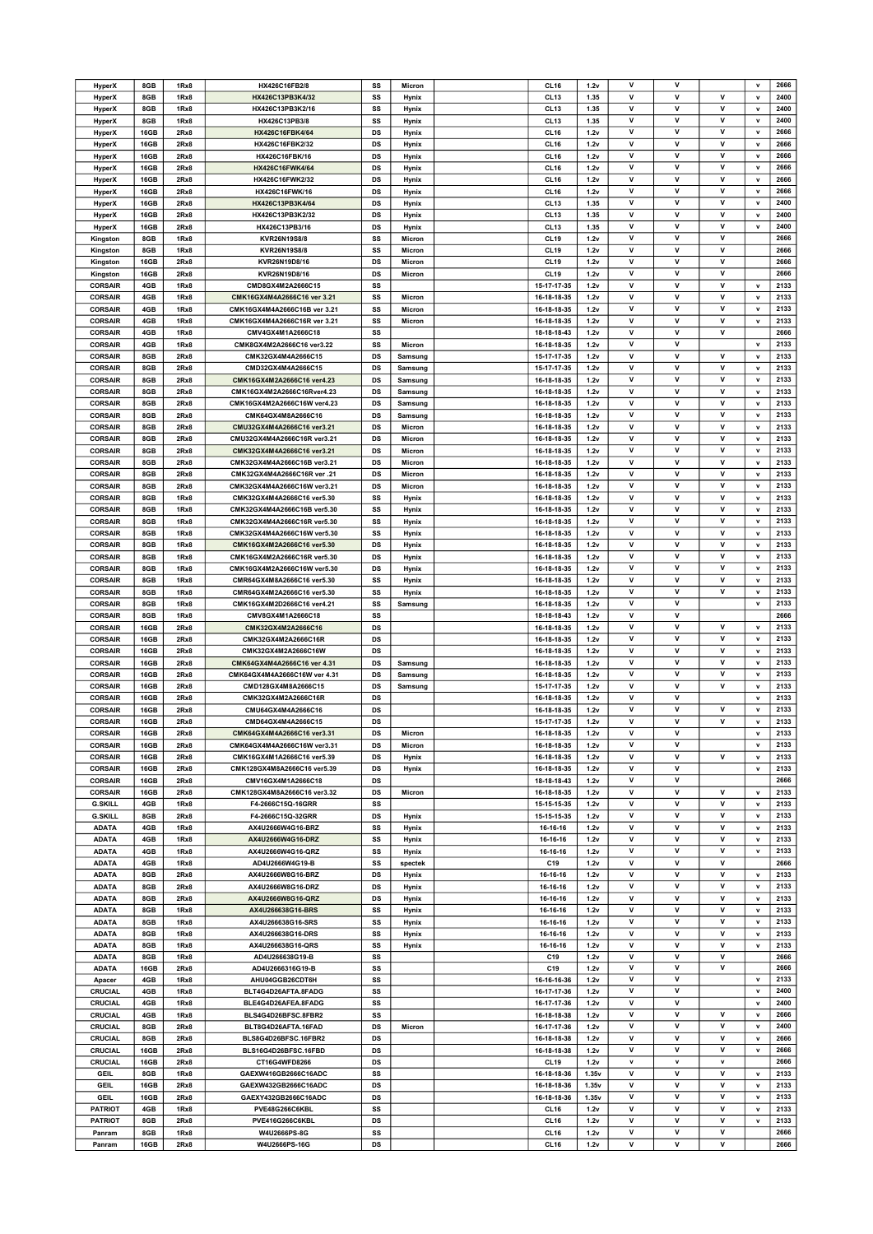| <b>HyperX</b>    | 8GB         | 1Rx8         | HX426C16FB2/8                 | SS        | Micron  | CL <sub>16</sub>                     | 1.2v         | v            | v                 |              | $\mathbf v$  | 2666         |
|------------------|-------------|--------------|-------------------------------|-----------|---------|--------------------------------------|--------------|--------------|-------------------|--------------|--------------|--------------|
| HyperX           | 8GB         | 1Rx8         | HX426C13PB3K4/32              | SS        | Hynix   | CL <sub>13</sub>                     | 1.35         | v            | $\mathsf{v}$      | $\mathsf{v}$ | $\mathbf v$  | 2400         |
|                  |             |              |                               |           |         |                                      |              |              |                   |              |              |              |
| HyperX           | 8GB         | 1Rx8         | HX426C13PB3K2/16              | SS        | Hynix   | CL <sub>13</sub>                     | 1.35         | v            | v                 | v            | v            | 2400         |
| <b>HyperX</b>    | 8GB         | 1Rx8         | HX426C13PB3/8                 | SS        | Hynix   | CL <sub>13</sub>                     | 1.35         | V            | v                 | V            | v            | 2400         |
| HyperX           | 16GB        | 2Rx8         | HX426C16FBK4/64               | DS        | Hynix   | <b>CL16</b>                          | 1.2v         | $\mathsf{v}$ | $\mathsf{v}$      | v            | $\mathbf{v}$ | 2666         |
| <b>HyperX</b>    | 16GB        | 2Rx8         | HX426C16FBK2/32               | DS        | Hynix   | CL <sub>16</sub>                     | 1.2v         | v            | v                 | v            | v            | 2666         |
| <b>HyperX</b>    | 16GB        | 2Rx8         | HX426C16FBK/16                | DS        | Hynix   | CL <sub>16</sub>                     | 1.2v         | v            | v                 | V            | v            | 2666         |
|                  |             |              |                               |           |         |                                      |              | $\mathsf{v}$ | v                 | v            |              | 2666         |
| HyperX           | 16GB        | 2Rx8         | HX426C16FWK4/64               | DS        | Hynix   | CL <sub>16</sub>                     | 1.2v         |              |                   |              | $\mathbf v$  |              |
| <b>HyperX</b>    | 16GB        | 2Rx8         | HX426C16FWK2/32               | DS        | Hynix   | CL <sub>16</sub>                     | 1.2v         | V            | v                 | v            | v            | 2666         |
| <b>HyperX</b>    | 16GB        | 2Rx8         | HX426C16FWK/16                | DS        | Hynix   | CL <sub>16</sub>                     | 1.2v         | ٧            | $\mathsf{v}$      | v            | $\mathbf v$  | 2666         |
| HyperX           | 16GB        | 2Rx8         | HX426C13PB3K4/64              | DS        | Hynix   | CL <sub>13</sub>                     | 1.35         | $\mathsf{v}$ | $\mathsf{v}$      | v            | v            | 2400         |
| <b>HyperX</b>    | 16GB        | 2Rx8         | HX426C13PB3K2/32              | DS        | Hynix   | CL <sub>13</sub>                     | 1.35         | ٧            | ۷                 | v            | v            | 2400         |
|                  |             |              |                               |           |         |                                      |              |              |                   |              |              |              |
| HyperX           | 16GB        | 2Rx8         | HX426C13PB3/16                | DS        | Hynix   | CL <sub>13</sub>                     | 1.35         | v            | v                 | v            | v            | 2400         |
| Kingston         | 8GB         | 1Rx8         | KVR26N19S8/8                  | SS        | Micron  | CL <sub>19</sub>                     | 1.2v         | V            | V                 | V            |              | 2666         |
| Kingston         | 8GB         | 1Rx8         | KVR26N19S8/8                  | SS        | Micron  | <b>CL19</b>                          | 1.2v         | v            | v                 | v            |              | 2666         |
| Kingston         | 16GB        | 2Rx8         | KVR26N19D8/16                 | DS        | Micron  | <b>CL19</b>                          | 1.2v         | ٧            | v                 | $\mathsf{v}$ |              | 2666         |
|                  |             |              |                               |           |         |                                      |              | V            | V                 | V            |              |              |
| Kingston         | 16GB        | 2Rx8         | KVR26N19D8/16                 | DS        | Micron  | CL <sub>19</sub>                     | 1.2v         |              |                   |              |              | 2666         |
| <b>CORSAIR</b>   | 4GB         | 1Rx8         | CMD8GX4M2A2666C15             | SS        |         | 15-17-17-35                          | 1.2v         | ٧            | v                 | v            | $\mathbf v$  | 2133         |
| <b>CORSAIR</b>   | 4GB         | 1Rx8         | CMK16GX4M4A2666C16 ver 3.21   | SS        | Micron  | 16-18-18-35                          | 1.2v         | v            | $\mathsf{v}$      | v            | v            | 2133         |
| <b>CORSAIR</b>   | 4GB         | 1Rx8         | CMK16GX4M4A2666C16B ver 3.21  | SS        | Micron  | 16-18-18-35                          | 1.2v         | V            | v                 | V            | v            | 2133         |
| <b>CORSAIR</b>   | 4GB         | 1Rx8         | CMK16GX4M4A2666C16R ver 3.21  | SS        | Micron  | 16-18-18-35                          | 1.2v         | v            | v                 | v            | $\mathbf v$  | 2133         |
|                  |             |              |                               |           |         |                                      |              |              |                   |              |              |              |
| <b>CORSAIR</b>   | 4GB         | 1Rx8         | CMV4GX4M1A2666C18             | SS        |         | 18-18-18-43                          | 1.2v         | v            | $\mathsf{v}$      | $\mathsf{v}$ |              | 2666         |
| <b>CORSAIR</b>   | 4GB         | 1Rx8         | CMK8GX4M2A2666C16 ver3.22     | SS        | Micron  | 16-18-18-35                          | 1.2v         | v            | v                 |              | v            | 2133         |
| <b>CORSAIR</b>   | 8GB         | 2Rx8         | CMK32GX4M4A2666C15            | DS        | Samsung | 15-17-17-35                          | 1.2v         | v            | v                 | v            | $\mathbf v$  | 2133         |
| <b>CORSAIR</b>   | 8GB         | 2Rx8         | CMD32GX4M4A2666C15            | DS        | Samsung | 15-17-17-35                          | 1.2v         | ٧            | v                 | $\mathsf{v}$ | v            | 2133         |
|                  |             |              |                               |           |         |                                      |              |              |                   |              |              |              |
| <b>CORSAIR</b>   | 8GB         | 2Rx8         | CMK16GX4M2A2666C16 ver4.23    | DS        | Samsung | 16-18-18-35                          | 1.2v         | V            | v                 | V            | v            | 2133         |
| <b>CORSAIR</b>   | 8GB         | 2Rx8         | CMK16GX4M2A2666C16Rver4.23    | DS        | Samsung | 16-18-18-35                          | 1.2v         | v            | v                 | v            | $\mathbf v$  | 2133         |
| <b>CORSAIR</b>   | 8GB         | 2Rx8         | CMK16GX4M2A2666C16W ver4.23   | DS        | Samsung | 16-18-18-35                          | 1.2v         | v            | v                 | v            | v            | 2133         |
| <b>CORSAIR</b>   | 8GB         | 2Rx8         | CMK64GX4M8A2666C16            | DS        | Samsung | 16-18-18-35                          | 1.2v         | v            | v                 | V            | v            | 2133         |
| <b>CORSAIR</b>   | 8GB         | 2Rx8         | CMU32GX4M4A2666C16 ver3.21    | DS        | Micron  | 16-18-18-35                          | 1.2v         | $\mathsf{v}$ | $\mathsf{v}$      | $\mathsf{v}$ | $\mathbf{v}$ | 2133         |
|                  |             |              |                               |           |         |                                      |              |              |                   |              |              |              |
| <b>CORSAIR</b>   | 8GB         | 2Rx8         | CMU32GX4M4A2666C16R ver3.21   | DS        | Micron  | 16-18-18-35                          | 1.2v         | v            | v                 | v            | v            | 2133         |
| <b>CORSAIR</b>   | 8GB         | 2Rx8         | CMK32GX4M4A2666C16 ver3.21    | DS        | Micron  | 16-18-18-35                          | 1.2v         | v            | v                 | $\mathsf{v}$ | v            | 2133         |
| <b>CORSAIR</b>   | 8GB         | 2Rx8         | CMK32GX4M4A2666C16B ver3.21   | DS        | Micron  | 16-18-18-35                          | 1.2v         | $\mathsf{v}$ | $\mathsf{v}$      | v            | $\mathbf v$  | 2133         |
| <b>CORSAIR</b>   | 8GB         | 2Rx8         | CMK32GX4M4A2666C16R ver .21   | DS        | Micron  | 16-18-18-35                          | 1.2v         | v            | v                 | V            | v            | 2133         |
|                  |             |              |                               |           |         |                                      |              |              |                   |              |              |              |
| <b>CORSAIR</b>   | 8GB         | 2Rx8         | CMK32GX4M4A2666C16W ver3.21   | DS        | Micron  | 16-18-18-35                          | 1.2v         | ٧            | v                 | v            | v            | 2133         |
| <b>CORSAIR</b>   | 8GB         | 1Rx8         | CMK32GX4M4A2666C16 ver5.30    | SS        | Hynix   | 16-18-18-35                          | 1.2v         | $\mathsf{v}$ | v                 | v            | $\mathbf{v}$ | 2133         |
| <b>CORSAIR</b>   | 8GB         | 1Rx8         | CMK32GX4M4A2666C16B ver5.30   | SS        | Hynix   | 16-18-18-35                          | 1.2v         | v            | v                 | V            | $\mathbf v$  | 2133         |
| <b>CORSAIR</b>   | 8GB         | 1Rx8         | CMK32GX4M4A2666C16R ver5.30   | SS        | Hynix   | 16-18-18-35                          | 1.2v         | ٧            | v                 | v            | v            | 2133         |
|                  |             |              |                               |           |         |                                      |              | V            | v                 | $\mathsf{v}$ |              | 2133         |
| <b>CORSAIR</b>   | 8GB         | 1Rx8         | CMK32GX4M4A2666C16W ver5.30   | SS        | Hynix   | 16-18-18-35                          | 1.2v         |              |                   |              | v            |              |
| <b>CORSAIR</b>   | 8GB         | 1Rx8         | CMK16GX4M2A2666C16 ver5.30    | DS        | Hynix   | 16-18-18-35                          | 1.2v         | V            | $\mathsf{v}$      | V            | $\mathbf v$  | 2133         |
| <b>CORSAIR</b>   | 8GB         | 1Rx8         | CMK16GX4M2A2666C16R ver5.30   | DS        | Hynix   | 16-18-18-35                          | 1.2v         | v            | v                 | v            | v            | 2133         |
| <b>CORSAIR</b>   | 8GB         | 1Rx8         | CMK16GX4M2A2666C16W ver5.30   | DS        | Hynix   | 16-18-18-35                          | 1.2v         | V            | v                 | V            | v            | 2133         |
|                  |             |              |                               |           |         |                                      |              | $\mathsf{v}$ |                   | V            |              |              |
| <b>CORSAIR</b>   | 8GB         | 1Rx8         | CMR64GX4M8A2666C16 ver5.30    | SS        | Hynix   | 16-18-18-35                          | 1.2v         |              | v                 |              | $\mathbf v$  | 2133         |
| <b>CORSAIR</b>   | 8GB         | 1Rx8         | CMR64GX4M2A2666C16 ver5.30    | SS        | Hynix   | 16-18-18-35                          | 1.2v         | v            | v                 | v            | v            | 2133         |
| <b>CORSAIR</b>   | 8GB         | 1Rx8         | CMK16GX4M2D2666C16 ver4.21    | SS        | Samsung | 16-18-18-35                          | 1.2v         | v            | v                 |              | v            | 2133         |
| <b>CORSAIR</b>   | 8GB         | 1Rx8         | CMV8GX4M1A2666C18             | SS        |         | 18-18-18-43                          | 1.2v         | v            | v                 |              |              | 2666         |
|                  |             |              |                               |           |         |                                      |              | v            | v                 | v            |              | 2133         |
| <b>CORSAIR</b>   | 16GB        | 2Rx8         | CMK32GX4M2A2666C16            | DS        |         | 16-18-18-35                          | 1.2v         |              |                   |              | $\mathsf{v}$ |              |
| <b>CORSAIR</b>   | 16GB        | 2Rx8         | CMK32GX4M2A2666C16R           | DS        |         | 16-18-18-35                          | 1.2v         | V            | v                 | v            | v            | 2133         |
| <b>CORSAIR</b>   | 16GB        | 2Rx8         | CMK32GX4M2A2666C16W           | DS        |         | 16-18-18-35                          | 1.2v         | v            | v                 | v            | $\mathbf v$  | 2133         |
| <b>CORSAIR</b>   | 16GB        | 2Rx8         | CMK64GX4M4A2666C16 ver 4.31   | DS        | Samsung | 16-18-18-35                          | 1.2v         | v            | v                 | v            | v            | 2133         |
| <b>CORSAIR</b>   | 16GB        |              |                               |           |         |                                      |              |              |                   |              |              |              |
|                  |             |              |                               |           |         |                                      |              |              |                   |              |              |              |
|                  |             | 2Rx8         | CMK64GX4M4A2666C16W ver 4.31  | DS        | Samsung | 16-18-18-35                          | 1.2v         | V            | v                 | V            | v            | 2133         |
| <b>CORSAIR</b>   | 16GB        | 2Rx8         | CMD128GX4M8A2666C15           | DS        | Samsung | 15-17-17-35                          | 1.2v         | $\mathsf{v}$ | $\mathsf{v}$      | v            | $\mathbf{v}$ | 2133         |
| <b>CORSAIR</b>   | 16GB        | 2Rx8         | CMK32GX4M2A2666C16R           | DS        |         | 16-18-18-35                          | 1.2v         | v            | v                 |              | v            | 2133         |
| <b>CORSAIR</b>   | 16GB        | 2Rx8         | CMU64GX4M4A2666C16            | DS        |         | 16-18-18-35                          | 1.2v         | v            | $\mathsf{v}$      | $\mathsf{v}$ | v            | 2133         |
|                  |             |              |                               |           |         |                                      |              |              |                   |              |              |              |
| <b>CORSAIR</b>   | 16GB        | 2Rx8         | CMD64GX4M4A2666C15            | DS        |         | 15-17-17-35                          | 1.2v         | V            | v                 | v            | v            | 2133         |
| <b>CORSAIR</b>   | 16GB        | 2Rx8         | CMK64GX4M4A2666C16 ver3.31    | DS        | Micron  | 16-18-18-35                          | 1.2v         | ۷            | ٧                 |              | v            | 2133         |
| <b>CORSAIR</b>   | 16GB        | 2Rx8         | CMK64GX4M4A2666C16W ver3.31   | DS        | Micron  | 16-18-18-35                          | 1.2v         | $\mathsf{v}$ | $\mathsf{v}$      |              | $\mathbf v$  | 2133         |
| <b>CORSAIR</b>   | 16GB        | 2Rx8         | CMK16GX4M1A2666C16 ver5.39    | DS        | Hynix   | 16-18-18-35                          | 1.2v         | $\mathsf{v}$ | $\mathsf{v}$      | v            | $\mathbf{v}$ | 2133         |
| <b>CORSAIR</b>   | 16GB        | 2Rx8         | CMK128GX4M8A2666C16 ver5.39   | DS        | Hynix   | 16-18-18-35                          | 1.2v         | v            | V                 |              | $\mathbf v$  | 2133         |
|                  |             |              |                               |           |         |                                      |              |              | v                 |              |              |              |
| <b>CORSAIR</b>   | 16GB        | 2Rx8         | CMV16GX4M1A2666C18            | <b>DS</b> |         | 18-18-18-43                          | 1.2v         | v            |                   |              |              | 2666         |
| <b>CORSAIR</b>   | 16GB        | 2Rx8         | CMK128GX4M8A2666C16 ver3.32   | DS        | Micron  | 16-18-18-35                          | 1.2v         | V            | v                 | $\mathsf{v}$ | $\mathbf v$  | 2133         |
| <b>G.SKILL</b>   | 4GB         | 1Rx8         | F4-2666C15Q-16GRR             | SS        |         | 15-15-15-35                          | 1.2v         | v            | V                 | v            | $\mathbf v$  | 2133         |
| <b>G.SKILL</b>   | 8GB         | 2Rx8         | F4-2666C15Q-32GRR             | DS        | Hynix   | 15-15-15-35                          | 1.2v         | $\mathsf{v}$ | $\mathsf{v}$      | v            | $\mathbf v$  | 2133         |
|                  | 4GB         | 1Rx8         | AX4U2666W4G16-BRZ             | SS        |         |                                      | 1.2v         | V            | v                 | v            | v            | 2133         |
| <b>ADATA</b>     |             |              |                               |           | Hynix   | 16-16-16                             |              |              |                   |              |              |              |
| <b>ADATA</b>     | 4GB         | 1Rx8         | AX4U2666W4G16-DRZ             | SS        | Hynix   | 16-16-16                             | 1.2v         | v            | v                 | v            | $\mathbf v$  | 2133         |
| <b>ADATA</b>     | 4GB         | 1Rx8         | AX4U2666W4G16-QRZ             | SS        | Hynix   | 16-16-16                             | 1.2v         | $\mathsf{v}$ | v                 | $\mathsf{v}$ | v            | 2133         |
| <b>ADATA</b>     | 4GB         | 1Rx8         | AD4U2666W4G19-B               | SS        | spectek | C19                                  | 1.2v         | V            | v                 | V            |              | 2666         |
| <b>ADATA</b>     | 8GB         | 2Rx8         | AX4U2666W8G16-BRZ             | DS        | Hynix   | 16-16-16                             | 1.2v         | $\mathsf{v}$ | v                 | v            | $\mathbf v$  | 2133         |
|                  |             |              |                               |           |         |                                      |              | $\mathsf{v}$ | $\mathsf{v}$      | $\mathsf{v}$ |              |              |
| <b>ADATA</b>     | 8GB         | 2Rx8         | AX4U2666W8G16-DRZ             | DS        | Hynix   | 16-16-16                             | 1.2v         |              |                   |              | v            | 2133         |
| <b>ADATA</b>     | 8GB         | 2Rx8         | AX4U2666W8G16-QRZ             | DS        | Hynix   | 16-16-16                             | 1.2v         | V            | v                 | V            | v            | 2133         |
| <b>ADATA</b>     | 8GB         | 1Rx8         | AX4U266638G16-BRS             | SS        | Hynix   | 16-16-16                             | 1.2v         | v            | v                 | v            | $\mathbf v$  | 2133         |
| <b>ADATA</b>     | 8GB         | 1Rx8         | AX4U266638G16-SRS             | SS        | Hynix   | 16-16-16                             | 1.2v         | v            | v                 | v            | v            | 2133         |
| <b>ADATA</b>     | 8GB         | 1Rx8         | AX4U266638G16-DRS             | SS        |         | 16-16-16                             | 1.2v         | V            | v                 | v            | v            | 2133         |
|                  |             |              |                               |           | Hynix   |                                      |              |              |                   |              |              |              |
| <b>ADATA</b>     | 8GB         | 1Rx8         | AX4U266638G16-QRS             | SS        | Hynix   | 16-16-16                             | 1.2v         | $\mathsf{v}$ | v                 | v            | $\mathbf v$  | 2133         |
| <b>ADATA</b>     | 8GB         | 1Rx8         | AD4U266638G19-B               | SS        |         | C19                                  | 1.2v         | v            | v                 | v            |              | 2666         |
| <b>ADATA</b>     | 16GB        | 2Rx8         | AD4U2666316G19-B              | SS        |         | C19                                  | 1.2v         | $\mathsf{v}$ | v                 | $\mathsf{v}$ |              | 2666         |
| Apacer           | 4GB         | 1Rx8         | AHU04GGB26CDT6H               | SS        |         | 16-16-16-36                          | 1.2v         | v            | V                 |              | $\mathsf{v}$ | 2133         |
| <b>CRUCIAL</b>   | 4GB         | 1Rx8         | BLT4G4D26AFTA.8FADG           | SS        |         | 16-17-17-36                          | 1.2v         | v            | v                 |              | $\mathbf v$  | 2400         |
|                  |             |              |                               |           |         |                                      |              |              |                   |              |              |              |
| CRUCIAL          | 4GB         | 1Rx8         | BLE4G4D26AFEA.8FADG           | SS        |         | 16-17-17-36                          | 1.2v         | $\mathsf{v}$ | $\mathsf{v}$      |              | $\mathbf v$  | 2400         |
| CRUCIAL          | 4GB         | 1Rx8         | BLS4G4D26BFSC.8FBR2           | SS        |         | 16-18-18-38                          | 1.2v         | v            | ۷                 | v            | $\mathbf v$  | 2666         |
| <b>CRUCIAL</b>   | 8GB         | 2Rx8         | BLT8G4D26AFTA.16FAD           | DS        | Micron  | 16-17-17-36                          | 1.2v         | v            | v                 | v            | $\mathbf v$  | 2400         |
| CRUCIAL          | 8GB         | 2Rx8         | BLS8G4D26BFSC.16FBR2          | DS        |         | 16-18-18-38                          | 1.2v         | V            | $\mathsf{v}$      | v            | $\mathbf v$  | 2666         |
| <b>CRUCIAL</b>   | 16GB        | 2Rx8         | BLS16G4D26BFSC.16FBD          | DS        |         | 16-18-18-38                          | 1.2v         | v            | V                 | v            | v            | 2666         |
|                  |             |              |                               |           |         |                                      |              | $\mathbf v$  | $\mathbf v$       |              |              |              |
| <b>CRUCIAL</b>   | 16GB        | 2Rx8         | CT16G4WFD8266                 | <b>DS</b> |         | CL <sub>19</sub>                     | 1.2v         |              |                   | $\mathbf v$  |              | 2666         |
| <b>GEIL</b>      | 8GB         | 1Rx8         | GAEXW416GB2666C16ADC          | SS        |         | 16-18-18-36                          | 1.35v        | V            | v                 | V            | v            | 2133         |
| GEIL             | 16GB        | 2Rx8         | GAEXW432GB2666C16ADC          | DS        |         | 16-18-18-36                          | 1.35v        | v            | V                 | v            | $\mathbf v$  | 2133         |
| GEIL             | 16GB        | 2Rx8         | GAEXY432GB2666C16ADC          | <b>DS</b> |         | 16-18-18-36                          | 1.35v        | $\mathsf{v}$ | $\mathsf{v}$      | $\mathsf{v}$ | v            | 2133         |
|                  | 4GB         | 1Rx8         |                               | SS        |         | CL <sub>16</sub>                     | 1.2v         | V            | v                 | V            | v            | 2133         |
| <b>PATRIOT</b>   |             |              | PVE48G266C6KBL                |           |         |                                      |              |              |                   |              |              |              |
| <b>PATRIOT</b>   | 8GB         | 2Rx8         | PVE416G266C6KBL               | DS        |         | CL <sub>16</sub>                     | 1.2v         | v            | v                 | v            | $\mathbf v$  | 2133         |
| Panram<br>Panram | 8GB<br>16GB | 1Rx8<br>2Rx8 | W4U2666PS-8G<br>W4U2666PS-16G | SS<br>DS  |         | CL <sub>16</sub><br>CL <sub>16</sub> | 1.2v<br>1.2v | v<br>V       | $\mathsf{v}$<br>v | v<br>V       |              | 2666<br>2666 |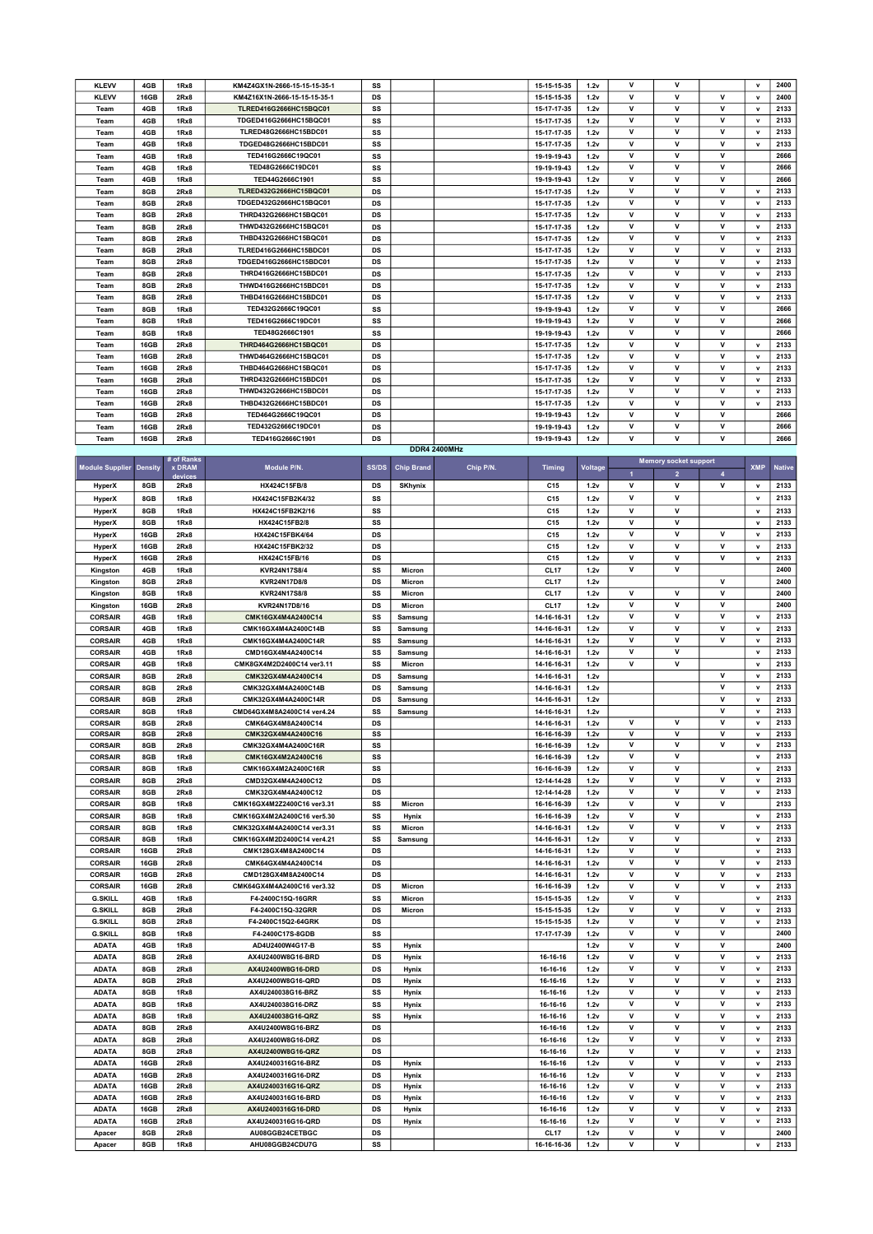| <b>KLEVV</b> | 4GB         | 1Rx8 | KM4Z4GX1N-2666-15-15-15-35-1 | SS        |                     | 15-15-15-35 | 1.2v | $\mathsf{v}$ | $\mathsf{v}$ |   | $\mathbf{v}$ | 2400 |
|--------------|-------------|------|------------------------------|-----------|---------------------|-------------|------|--------------|--------------|---|--------------|------|
| <b>KLEVV</b> | 16GB        | 2Rx8 | KM4Z16X1N-2666-15-15-15-35-1 | <b>DS</b> |                     | 15-15-15-35 | 1.2v | v            | $\mathbf v$  | v | $\mathbf v$  | 2400 |
| Team         | 4GB         | 1Rx8 | TLRED416G2666HC15BQC01       | SS        |                     | 15-17-17-35 | 1.2v | v            | v            | v | $\mathbf v$  | 2133 |
| Team         | 4GB         | 1Rx8 | TDGED416G2666HC15BQC01       | SS        |                     | 15-17-17-35 | 1.2v | v            | v            | v | $\mathbf v$  | 2133 |
| Team         | 4GB         | 1Rx8 | TLRED48G2666HC15BDC01        | SS        |                     | 15-17-17-35 | 1.2v | v            | v            | v | $\mathbf v$  | 2133 |
| Team         | 4GB         | 1Rx8 | TDGED48G2666HC15BDC01        | SS        |                     | 15-17-17-35 | 1.2v | $\mathsf{v}$ | v            | v | $\mathbf{v}$ | 2133 |
| Team         | 4GB         | 1Rx8 | TED416G2666C19QC01           | SS        |                     | 19-19-19-43 | 1.2v | $\mathsf{v}$ | v            | v |              | 2666 |
| Team         | 4GB         | 1Rx8 | TED48G2666C19DC01            | SS        |                     | 19-19-19-43 | 1.2v | v            | $\mathbf v$  | v |              | 2666 |
| Team         | 4GB         | 1Rx8 | TED44G2666C1901              | SS        |                     | 19-19-19-43 | 1.2v | $\mathsf{v}$ | v            | v |              | 2666 |
| Team         | 8GB         | 2Rx8 | TLRED432G2666HC15BQC01       | <b>DS</b> |                     | 15-17-17-35 | 1.2v | v            | v            | v | $\mathbf v$  | 2133 |
| Team         | 8GB         | 2Rx8 | TDGED432G2666HC15BQC01       | <b>DS</b> |                     | 15-17-17-35 | 1.2v | $\mathsf{v}$ | v            | v | $\mathbf v$  | 2133 |
| Team         | 8GB         | 2Rx8 | THRD432G2666HC15BQC01        | <b>DS</b> |                     | 15-17-17-35 | 1.2v | $\mathsf{v}$ | $\mathbf v$  | v | $\mathbf{v}$ | 2133 |
| Team         | 8GB         | 2Rx8 | THWD432G2666HC15BQC01        | <b>DS</b> |                     | 15-17-17-35 | 1.2v | v            | v            | v | $\mathbf v$  | 2133 |
| Team         | 8GB         | 2Rx8 | THBD432G2666HC15BQC01        | <b>DS</b> |                     | 15-17-17-35 | 1.2v | $\mathsf{v}$ | $\mathbf v$  | v | $\mathbf v$  | 2133 |
| Team         | 8GB         | 2Rx8 | TLRED416G2666HC15BDC01       | <b>DS</b> |                     | 15-17-17-35 | 1.2v | $\mathsf{v}$ | $\mathbf v$  | v | $\mathbf v$  | 2133 |
| Team         | 8GB         | 2Rx8 | TDGED416G2666HC15BDC01       | DS        |                     | 15-17-17-35 | 1.2v | v            | v            | v | $\mathbf v$  | 2133 |
| Team         | 8GB         | 2Rx8 | THRD416G2666HC15BDC01        | <b>DS</b> |                     | 15-17-17-35 | 1.2v | $\mathsf{v}$ | v            | v | $\mathbf v$  | 2133 |
| Team         | 8GB         | 2Rx8 | THWD416G2666HC15BDC01        | <b>DS</b> |                     | 15-17-17-35 | 1.2v | $\mathsf{v}$ | v            | v | $\mathbf v$  | 2133 |
| Team         | 8GB         | 2Rx8 | THBD416G2666HC15BDC01        | DS        |                     | 15-17-17-35 | 1.2v | $\mathsf{v}$ | v            | v | $\mathbf v$  | 2133 |
| Team         | 8GB         | 1Rx8 | TED432G2666C19QC01           | SS        |                     | 19-19-19-43 | 1.2v | $\mathsf{v}$ | v            | v |              | 2666 |
| Team         | 8GB         | 1Rx8 | TED416G2666C19DC01           | SS        |                     | 19-19-19-43 | 1.2v | $\mathsf{v}$ | v            | v |              | 2666 |
| Team         | 8GB         | 1Rx8 | TED48G2666C1901              | SS        |                     | 19-19-19-43 | 1.2v | v            | v            | v |              | 2666 |
| Team         | 16GB        | 2Rx8 | THRD464G2666HC15BQC01        | <b>DS</b> |                     | 15-17-17-35 | 1.2v | $\mathsf{v}$ | v            | v | $\mathbf{v}$ | 2133 |
| Team         | 16GB        | 2Rx8 | THWD464G2666HC15BQC01        | DS        |                     | 15-17-17-35 | 1.2v | $\mathsf{v}$ | v            | v | $\mathbf v$  | 2133 |
| Team         | 16GB        | 2Rx8 | THBD464G2666HC15BQC01        | <b>DS</b> |                     | 15-17-17-35 | 1.2v | v            | v            | v | $\mathbf v$  | 2133 |
| Team         | 16GB        | 2Rx8 | THRD432G2666HC15BDC01        | <b>DS</b> |                     | 15-17-17-35 | 1.2v | $\mathsf{v}$ | v            | v | $\mathbf{v}$ | 2133 |
| Team         | 16GB        | 2Rx8 | THWD432G2666HC15BDC01        | <b>DS</b> |                     | 15-17-17-35 | 1.2v | v            | v            | v | $\mathbf v$  | 2133 |
| Team         | 16GB        | 2Rx8 | THBD432G2666HC15BDC01        | <b>DS</b> |                     | 15-17-17-35 | 1.2v | v            | v            | v | $\mathbf v$  | 2133 |
| Team         | 16GB        | 2Rx8 | TED464G2666C19QC01           | <b>DS</b> |                     | 19-19-19-43 | 1.2v | $\mathsf{v}$ | v            | v |              | 2666 |
| Team         | <b>16GB</b> | 2Rx8 | TED432G2666C19DC01           | <b>DS</b> |                     | 19-19-19-43 | 1.2v | v            | v            | v |              | 2666 |
| Team         | 16GB        | 2Rx8 | TED416G2666C1901             | <b>DS</b> |                     | 19-19-19-43 | 1.2v | v            | v            | v |              | 2666 |
|              |             |      |                              |           | <b>DDR4 2400MHz</b> |             |      |              |              |   |              |      |

|                        |                | # of Ranks       |                            | SS/DS     | <b>Chip Brand</b> |           |                  |                |                         | <b>Memory socket support</b> |                         | <b>XMP</b>   | <b>Native</b> |
|------------------------|----------------|------------------|----------------------------|-----------|-------------------|-----------|------------------|----------------|-------------------------|------------------------------|-------------------------|--------------|---------------|
| <b>Module Supplier</b> | <b>Density</b> | x DRAM<br>device | Module P/N.                |           |                   | Chip P/N. | <b>Timing</b>    | <b>Voltage</b> | $\overline{\mathbf{1}}$ | $\mathbf{2}$                 | $\overline{\mathbf{4}}$ |              |               |
| <b>HyperX</b>          | 8GB            | 2Rx8             | HX424C15FB/8               | DS        | <b>SKhynix</b>    |           | C15              | 1.2v           | v                       | v                            | ۷                       | $\mathbf v$  | 2133          |
| <b>HyperX</b>          | 8GB            | 1Rx8             | HX424C15FB2K4/32           | SS        |                   |           | C <sub>15</sub>  | 1.2v           | v                       | v                            |                         | $\mathbf{v}$ | 2133          |
| <b>HyperX</b>          | 8GB            | 1Rx8             | HX424C15FB2K2/16           | SS        |                   |           | C15              | 1.2v           | $\mathbf{v}$            | $\mathbf v$                  |                         | $\mathbf{v}$ | 2133          |
| HyperX                 | 8GB            | 1Rx8             | HX424C15FB2/8              | SS        |                   |           | C15              | 1.2v           | v                       | v                            |                         | $\mathsf{v}$ | 2133          |
| <b>HyperX</b>          | 16GB           | 2Rx8             | HX424C15FBK4/64            | DS        |                   |           | C15              | 1.2v           | $\mathsf{v}$            | $\mathsf{v}$                 | v                       | $\mathbf v$  | 2133          |
|                        | 16GB           | 2Rx8             |                            | DS        |                   |           | C15              |                | V                       | v                            | $\mathsf{v}$            |              | 2133          |
| <b>HyperX</b>          |                |                  | HX424C15FBK2/32            |           |                   |           |                  | 1.2v           | v                       |                              | v                       | $\mathsf{v}$ |               |
| <b>HyperX</b>          | 16GB           | 2Rx8             | HX424C15FB/16              | DS        |                   |           | C15              | 1.2v           |                         | v                            |                         | $\mathbf v$  | 2133          |
| Kingston               | 4GB            | 1Rx8             | <b>KVR24N17S8/4</b>        | SS        | Micron            |           | <b>CL17</b>      | 1.2v           | V                       | v                            |                         |              | 2400          |
| Kingston               | 8GB            | 2Rx8             | KVR24N17D8/8               | DS        | Micron            |           | <b>CL17</b>      | 1.2v           |                         |                              | v                       |              | 2400          |
| Kingston               | 8GB            | 1Rx8             | <b>KVR24N17S8/8</b>        | SS        | Micron            |           | <b>CL17</b>      | 1.2v           | $\mathsf{v}$            | $\mathbf{v}$                 | $\mathbf v$             |              | 2400          |
| Kingston               | 16GB           | 2Rx8             | KVR24N17D8/16              | DS        | Micron            |           | CL <sub>17</sub> | 1.2v           | v                       | v                            | v                       |              | 2400          |
| <b>CORSAIR</b>         | 4GB            | 1Rx8             | CMK16GX4M4A2400C14         | SS        | Samsung           |           | 14-16-16-31      | 1.2v           | $\overline{\mathsf{v}}$ | v                            | $\mathsf{v}$            | $\mathbf{v}$ | 2133          |
| <b>CORSAIR</b>         | 4GB            | 1Rx8             | CMK16GX4M4A2400C14B        | SS        | Samsung           |           | 14-16-16-31      | 1.2v           | v                       | V                            | ٧                       | $\mathsf{v}$ | 2133          |
| <b>CORSAIR</b>         | 4GB            | 1Rx8             | CMK16GX4M4A2400C14R        | SS        | Samsung           |           | 14-16-16-31      | 1.2v           | v                       | v                            | v                       | $\mathbf v$  | 2133          |
| <b>CORSAIR</b>         | 4GB            | 1Rx8             | CMD16GX4M4A2400C14         | SS        | Samsung           |           | 14-16-16-31      | 1.2v           | $\mathsf{v}$            | V                            |                         | $\mathbf v$  | 2133          |
| <b>CORSAIR</b>         | 4GB            | 1Rx8             | CMK8GX4M2D2400C14 ver3.11  | SS        | Micron            |           | 14-16-16-31      | 1.2v           | v                       | v                            |                         | $\mathbf v$  | 2133          |
| <b>CORSAIR</b>         | 8GB            | 2Rx8             | CMK32GX4M4A2400C14         | DS        | Samsung           |           | 14-16-16-31      | 1.2v           |                         |                              | v                       | $\mathbf v$  | 2133          |
| <b>CORSAIR</b>         | 8GB            | 2Rx8             | CMK32GX4M4A2400C14B        | <b>DS</b> | Samsung           |           | 14-16-16-31      | 1.2v           |                         |                              | v                       | $\mathbf v$  | 2133          |
| <b>CORSAIR</b>         | 8GB            | 2Rx8             | CMK32GX4M4A2400C14R        | DS        | Samsung           |           | 14-16-16-31      | 1.2v           |                         |                              | $\mathsf{v}$            | $\mathbf{v}$ | 2133          |
| <b>CORSAIR</b>         | 8GB            | 1Rx8             | CMD64GX4M8A2400C14 ver4.24 | SS        | Samsung           |           | 14-16-16-31      | 1.2v           |                         |                              | v                       | $\mathbf v$  | 2133          |
| <b>CORSAIR</b>         | 8GB            | 2Rx8             | CMK64GX4M8A2400C14         | <b>DS</b> |                   |           | 14-16-16-31      | 1.2v           | $\mathsf{v}$            | $\mathsf{v}$                 | $\mathsf{v}$            | $\mathbf{v}$ | 2133          |
| <b>CORSAIR</b>         | 8GB            | 2Rx8             | CMK32GX4M4A2400C16         | SS        |                   |           | 16-16-16-39      | 1.2v           | v                       | v                            | v                       | $\mathbf v$  | 2133          |
| <b>CORSAIR</b>         | 8GB            | 2Rx8             | CMK32GX4M4A2400C16R        | SS        |                   |           | 16-16-16-39      | 1.2v           | v                       | v                            | $\mathsf{v}$            | $\mathbf v$  | 2133          |
| <b>CORSAIR</b>         | 8GB            | 1Rx8             | CMK16GX4M2A2400C16         | SS        |                   |           | 16-16-16-39      | 1.2v           | v                       | v                            |                         | $\mathbf v$  | 2133          |
| <b>CORSAIR</b>         | 8GB            | 1Rx8             | CMK16GX4M2A2400C16R        | SS        |                   |           | 16-16-16-39      | 1.2v           | v                       | $\mathsf{v}$                 |                         | $\mathbf v$  | 2133          |
| <b>CORSAIR</b>         | 8GB            | 2Rx8             | CMD32GX4M4A2400C12         | <b>DS</b> |                   |           | 12-14-14-28      | 1.2v           | v                       | $\mathsf{v}$                 | $\mathsf{v}$            | $\mathbf v$  | 2133          |
| <b>CORSAIR</b>         | 8GB            | 2Rx8             | CMK32GX4M4A2400C12         | <b>DS</b> |                   |           | 12-14-14-28      | 1.2v           | V                       | $\mathsf{v}$                 | $\mathsf{v}$            | $\mathbf{v}$ | 2133          |
| <b>CORSAIR</b>         | 8GB            | 1Rx8             | CMK16GX4M2Z2400C16 ver3.31 | SS        | Micron            |           | 16-16-16-39      | 1.2v           | v                       | $\mathsf{v}$                 | $\mathsf{v}$            |              | 2133          |
| <b>CORSAIR</b>         | 8GB            | 1Rx8             | CMK16GX4M2A2400C16 ver5.30 | SS        | Hynix             |           | 16-16-16-39      | 1.2v           | v                       | $\mathsf{v}$                 |                         | $\mathbf v$  | 2133          |
| <b>CORSAIR</b>         | 8GB            | 1Rx8             | CMK32GX4M4A2400C14 ver3.31 | SS        | Micron            |           | 14-16-16-31      | 1.2v           | v                       | $\mathsf{v}$                 | v                       | $\mathbf v$  | 2133          |
| <b>CORSAIR</b>         | 8GB            | 1Rx8             | CMK16GX4M2D2400C14 ver4.21 | SS        | Samsung           |           | 14-16-16-31      | 1.2v           | v                       | $\mathsf{v}$                 |                         | $\mathsf{v}$ | 2133          |
| <b>CORSAIR</b>         | 16GB           | 2Rx8             | CMK128GX4M8A2400C14        | DS        |                   |           | 14-16-16-31      | 1.2v           | v                       | v                            |                         | $\mathsf{v}$ | 2133          |
| <b>CORSAIR</b>         | 16GB           | 2Rx8             | CMK64GX4M4A2400C14         | DS        |                   |           | 14-16-16-31      | 1.2v           | v                       | v                            | $\mathsf{v}$            | $\mathbf v$  | 2133          |
| <b>CORSAIR</b>         | 16GB           | 2Rx8             | CMD128GX4M8A2400C14        | DS        |                   |           | 14-16-16-31      | 1.2v           | V                       | v                            | v                       | $\mathbf{v}$ | 2133          |
| <b>CORSAIR</b>         | 16GB           | 2Rx8             | CMK64GX4M4A2400C16 ver3.32 | <b>DS</b> | Micron            |           | 16-16-16-39      | 1.2v           | v                       | v                            | v                       | $\mathbf v$  | 2133          |
| <b>G.SKILL</b>         | 4GB            | 1Rx8             | F4-2400C15Q-16GRR          | SS        | Micron            |           | 15-15-15-35      | 1.2v           | v                       | $\mathsf{v}$                 |                         | $\mathbf v$  | 2133          |
| <b>G.SKILL</b>         | 8GB            | 2Rx8             | F4-2400C15Q-32GRR          | DS        | Micron            |           | 15-15-15-35      | 1.2v           | v                       | $\mathsf{v}$                 | $\mathsf{v}$            | $\mathsf{v}$ | 2133          |
| <b>G.SKILL</b>         | 8GB            | 2Rx8             | F4-2400C15Q2-64GRK         | DS        |                   |           | 15-15-15-35      | 1.2v           | v                       | $\mathsf{v}$                 | $\mathsf{v}$            | $\mathsf{v}$ | 2133          |
| <b>G.SKILL</b>         | 8GB            | 1Rx8             | F4-2400C17S-8GDB           | SS        |                   |           | 17-17-17-39      |                | v                       | v                            | ٧                       |              | 2400          |
| <b>ADATA</b>           | 4GB            | 1Rx8             | AD4U2400W4G17-B            | SS        |                   |           |                  | 1.2v<br>1.2v   | v                       | $\mathsf{v}$                 | $\mathsf{v}$            |              | 2400          |
|                        | 8GB            | 2Rx8             | AX4U2400W8G16-BRD          | DS        | Hynix             |           |                  | 1.2v           | v                       | V                            | $\mathsf{v}$            | $\mathbf{v}$ | 2133          |
| <b>ADATA</b>           |                |                  |                            |           | Hynix             |           | 16-16-16         |                | v                       | V                            | v                       | $\mathbf v$  | 2133          |
| <b>ADATA</b>           | 8GB            | 2Rx8             | AX4U2400W8G16-DRD          | DS        | Hynix             |           | 16-16-16         | 1.2v           |                         |                              |                         |              |               |
| <b>ADATA</b>           | 8GB            | 2Rx8             | AX4U2400W8G16-QRD          | DS        | Hynix             |           | 16-16-16         | 1.2v           | v                       | $\mathsf{v}$                 | v                       | $\mathsf{v}$ | 2133          |
| <b>ADATA</b>           | 8GB            | 1Rx8             | AX4U240038G16-BRZ          | SS        | Hynix             |           | 16-16-16         | 1.2v           | v                       | $\mathsf{v}$                 | $\mathsf{v}$            | $\mathbf v$  | 2133          |
| <b>ADATA</b>           | 8GB            | 1Rx8             | AX4U240038G16-DRZ          | SS        | Hynix             |           | 16-16-16         | 1.2v           | v                       | $\mathsf{v}$                 | $\mathsf{v}$            | $\mathbf v$  | 2133          |
| <b>ADATA</b>           | 8GB            | 1Rx8             | AX4U240038G16-QRZ          | SS        | Hynix             |           | 16-16-16         | 1.2v           | v                       | $\mathsf{v}$                 | $\mathsf{v}$            | $\mathbf v$  | 2133          |
| <b>ADATA</b>           | 8GB            | 2Rx8             | AX4U2400W8G16-BRZ          | DS        |                   |           | 16-16-16         | 1.2v           | $\mathsf{v}$            | $\mathsf{v}$                 | $\mathbf v$             | $\mathbf{v}$ | 2133          |
| <b>ADATA</b>           | 8GB            | 2Rx8             | AX4U2400W8G16-DRZ          | DS        |                   |           | 16-16-16         | 1.2v           | v                       | $\mathsf{v}$                 | v                       | v            | 2133          |
| <b>ADATA</b>           | 8GB            | 2Rx8             | AX4U2400W8G16-QRZ          | DS        |                   |           | 16-16-16         | 1.2v           | v                       | $\mathbf v$                  | $\mathsf{v}$            | $\mathbf{v}$ | 2133          |
| <b>ADATA</b>           | 16GB           | 2Rx8             | AX4U2400316G16-BRZ         | DS        | Hynix             |           | 16-16-16         | 1.2v           | v                       | v                            | v                       | $\mathbf v$  | 2133          |
| <b>ADATA</b>           | 16GB           | 2Rx8             | AX4U2400316G16-DRZ         | DS        | Hynix             |           | 16-16-16         | 1.2v           | v                       | $\mathsf{v}$                 | $\mathbf v$             | $\mathbf v$  | 2133          |
| <b>ADATA</b>           | 16GB           | 2Rx8             | AX4U2400316G16-QRZ         | DS        | Hynix             |           | 16-16-16         | 1.2v           | V                       | $\mathsf{v}$                 | v                       | $\mathbf v$  | 2133          |
| <b>ADATA</b>           | 16GB           | 2Rx8             | AX4U2400316G16-BRD         | DS        | Hynix             |           | 16-16-16         | 1.2v           | v                       | $\mathbf v$                  | $\mathsf{v}$            | $\mathbf v$  | 2133          |
| <b>ADATA</b>           | 16GB           | 2Rx8             | AX4U2400316G16-DRD         | DS        | Hynix             |           | 16-16-16         | 1.2v           | v                       | v                            | $\mathsf{v}$            | $\mathbf v$  | 2133          |
| <b>ADATA</b>           | 16GB           | 2Rx8             | AX4U2400316G16-QRD         | DS        | Hynix             |           | 16-16-16         | 1.2v           | v                       | v                            | $\mathsf{v}$            | $\mathbf v$  | 2133          |
| Apacer                 | 8GB            | 2Rx8             | AU08GGB24CETBGC            | DS        |                   |           | <b>CL17</b>      | 1.2v           | v                       | v                            | $\mathsf{v}$            |              | 2400          |
| Apacer                 | 8GB            | 1Rx8             | AHU08GGB24CDU7G            | SS        |                   |           | 16-16-16-36      | 1.2v           | $\mathbf{v}$            | v                            |                         | $\mathbf{v}$ | 2133          |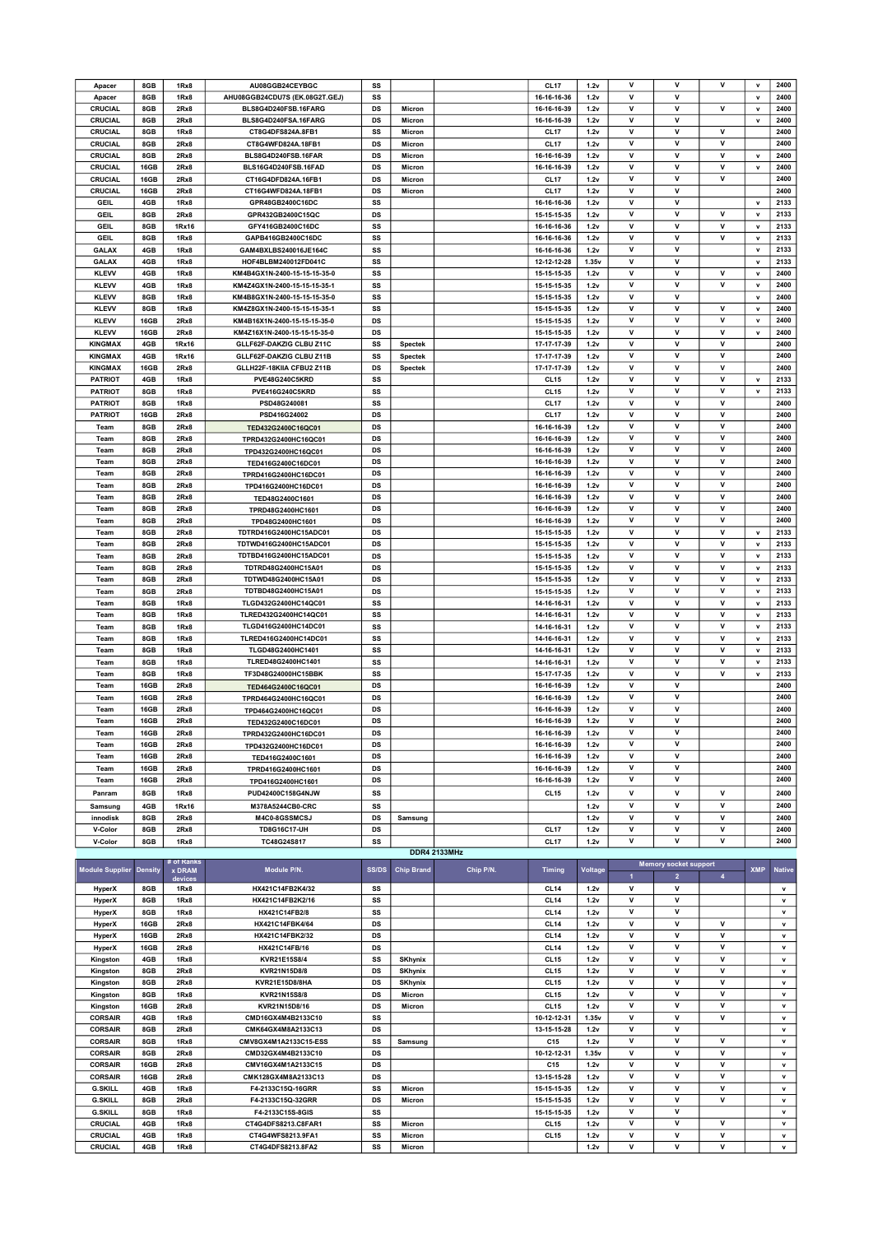| Apacer                 |                |               |                                |              |                   |                     |                  |         |                |                              |                         |              |               |
|------------------------|----------------|---------------|--------------------------------|--------------|-------------------|---------------------|------------------|---------|----------------|------------------------------|-------------------------|--------------|---------------|
|                        | 8GB            | 1Rx8          | AU08GGB24CEYBGC                | SS           |                   |                     | <b>CL17</b>      | 1.2v    | v              | v                            | v                       | $\mathbf v$  | 2400          |
| Apacer                 | 8GB            | 1Rx8          | AHU08GGB24CDU7S (EK.08G2T.GEJ) | SS           |                   |                     | 16-16-16-36      | 1.2v    | v              | v                            |                         | $\mathbf v$  | 2400          |
| CRUCIAL                | 8GB            | 2Rx8          | BLS8G4D240FSB.16FARG           | DS           | Micron            |                     | 16-16-16-39      | 1.2v    | v              | v                            | v                       | $\mathsf{v}$ | 2400          |
| CRUCIAL                | 8GB            | 2Rx8          | BLS8G4D240FSA.16FARG           | DS           | Micron            |                     | 16-16-16-39      | 1.2v    | v              | ۷                            |                         | $\mathbf v$  | 2400          |
| CRUCIAL                | 8GB            | 1Rx8          | CT8G4DFS824A.8FB1              | SS           | Micron            |                     | <b>CL17</b>      | 1.2v    | v              | v                            | v                       |              | 2400          |
| CRUCIAL                | 8GB            | 2Rx8          | CT8G4WFD824A.18FB1             | DS           | Micron            |                     | <b>CL17</b>      | 1.2v    | v              | v                            | V                       |              | 2400          |
| CRUCIAL                | 8GB            | 2Rx8          | BLS8G4D240FSB.16FAR            | DS           | Micron            |                     | 16-16-16-39      | 1.2v    | v              | v                            | ٧                       | $\mathbf v$  | 2400          |
| CRUCIAL                | 16GB           | 2Rx8          | BLS16G4D240FSB.16FAD           | DS           | Micron            |                     | 16-16-16-39      | 1.2v    | v              | v                            | ٧                       | $\mathsf{v}$ | 2400          |
|                        |                |               |                                |              |                   |                     |                  |         | v              |                              | v                       |              |               |
| CRUCIAL                | 16GB           | 2Rx8          | CT16G4DFD824A.16FB1            | DS           | Micron            |                     | <b>CL17</b>      | 1.2v    |                | v                            |                         |              | 2400          |
| CRUCIAL                | 16GB           | 2Rx8          | CT16G4WFD824A.18FB1            | DS           | Micron            |                     | <b>CL17</b>      | 1.2v    | v              | v                            |                         |              | 2400          |
| GEIL                   | 4GB            | 1Rx8          | GPR48GB2400C16DC               | SS           |                   |                     | 16-16-16-36      | 1.2v    | v              | V                            |                         | $\mathsf{v}$ | 2133          |
| GEIL                   | 8GB            | 2Rx8          | GPR432GB2400C15QC              | DS           |                   |                     | 15-15-15-35      | 1.2v    | v              | V                            | v                       | $\mathbf v$  | 2133          |
| <b>GEIL</b>            | 8GB            | 1Rx16         | GFY416GB2400C16DC              | SS           |                   |                     | 16-16-16-36      | 1.2v    | v              | v                            | v                       | $\mathbf v$  | 2133          |
| GEIL                   | 8GB            | 1Rx8          | GAPB416GB2400C16DC             | SS           |                   |                     | 16-16-16-36      | 1.2v    | v              | ۷                            | ۷                       | $\mathsf{v}$ | 2133          |
| GALAX                  | 4GB            | 1Rx8          | GAM4BXLBS240016JE164C          | SS           |                   |                     | 16-16-16-36      | 1.2v    | v              | v                            |                         | $\mathbf v$  | 2133          |
|                        |                |               |                                |              |                   |                     |                  |         | $\mathsf{v}$   | $\mathsf{v}$                 |                         | $\mathbf{v}$ |               |
| <b>GALAX</b>           | 4GB            | 1Rx8          | HOF4BLBM240012FD041C           | SS           |                   |                     | 12-12-12-28      | 1.35v   |                |                              |                         |              | 2133          |
| <b>KLEVV</b>           | 4GB            | 1Rx8          | KM4B4GX1N-2400-15-15-15-35-0   | SS           |                   |                     | 15-15-15-35      | 1.2v    | ٧              | ۷                            | ۷                       | $\mathsf{v}$ | 2400          |
| <b>KLEVV</b>           | 4GB            | 1Rx8          | KM4Z4GX1N-2400-15-15-15-35-1   | SS           |                   |                     | 15-15-15-35      | 1.2v    | v              | v                            | ٧                       | $\mathbf v$  | 2400          |
| <b>KLEVV</b>           | 8GB            | 1Rx8          | KM4B8GX1N-2400-15-15-15-35-0   | SS           |                   |                     | 15-15-15-35      | 1.2v    | v              | v                            |                         | $\mathbf v$  | 2400          |
| <b>KLEVV</b>           | 8GB            | 1Rx8          | KM4Z8GX1N-2400-15-15-15-35-1   | SS           |                   |                     | 15-15-15-35      | 1.2v    | ٧              | ۷                            | ٧                       | $\mathsf{v}$ | 2400          |
| <b>KLEVV</b>           | 16GB           | 2Rx8          | KM4B16X1N-2400-15-15-15-35-0   | DS           |                   |                     | 15-15-15-35      | 1.2v    | ٧              | v                            | ٧                       | $\mathbf v$  | 2400          |
| <b>KLEVV</b>           | 16GB           | 2Rx8          | KM4Z16X1N-2400-15-15-15-35-0   | DS           |                   |                     | 15-15-15-35      | 1.2v    | v              | $\mathsf{v}$                 | V                       | V            | 2400          |
|                        |                |               |                                |              |                   |                     |                  |         |                |                              |                         |              |               |
| <b>KINGMAX</b>         | 4GB            | 1Rx16         | GLLF62F-DAKZIG CLBU Z11C       | SS           | <b>Spectek</b>    |                     | 17-17-17-39      | 1.2v    | ٧              | ۷                            | v                       |              | 2400          |
| <b>KINGMAX</b>         | 4GB            | 1Rx16         | GLLF62F-DAKZIG CLBU Z11B       | SS           | <b>Spectek</b>    |                     | 17-17-17-39      | 1.2v    | ٧              | v                            | v                       |              | 2400          |
| <b>KINGMAX</b>         | 16GB           | 2Rx8          | GLLH22F-18KIIA CFBU2 Z11B      | DS           | <b>Spectek</b>    |                     | 17-17-17-39      | 1.2v    | v              | v                            | v                       |              | 2400          |
| <b>PATRIOT</b>         | 4GB            | 1Rx8          | PVE48G240C5KRD                 | SS           |                   |                     | <b>CL15</b>      | 1.2v    | ٧              | v                            | v                       | $\mathbf v$  | 2133          |
| <b>PATRIOT</b>         | 8GB            | 1Rx8          | PVE416G240C5KRD                | SS           |                   |                     | <b>CL15</b>      | 1.2v    | V              | v                            | $\mathsf{v}$            | $\mathbf v$  | 2133          |
| <b>PATRIOT</b>         | 8GB            | 1Rx8          | PSD48G240081                   | SS           |                   |                     | CL <sub>17</sub> | 1.2v    | v              | v                            | v                       |              | 2400          |
| <b>PATRIOT</b>         | 16GB           | 2Rx8          | PSD416G24002                   | DS           |                   |                     | <b>CL17</b>      | 1.2v    | $\mathsf{v}$   | $\mathsf{v}$                 | v                       |              | 2400          |
|                        |                |               |                                |              |                   |                     |                  |         |                |                              |                         |              |               |
| Team                   | 8GB            | 2Rx8          | TED432G2400C16QC01             | DS           |                   |                     | 16-16-16-39      | 1.2v    | v              | v                            | v                       |              | 2400          |
| Team                   | 8GB            | 2Rx8          | TPRD432G2400HC16QC01           | DS           |                   |                     | 16-16-16-39      | 1.2v    | v              | v                            | v                       |              | 2400          |
| Team                   | 8GB            | 2Rx8          | TPD432G2400HC16QC01            | DS           |                   |                     | 16-16-16-39      | 1.2v    | ٧              | ۷                            | ٧                       |              | 2400          |
| Team                   | 8GB            | 2Rx8          | TED416G2400C16DC01             | DS           |                   |                     | 16-16-16-39      | 1.2v    | V              | v                            | v                       |              | 2400          |
| Team                   | 8GB            | 2Rx8          | TPRD416G2400HC16DC01           | DS           |                   |                     | 16-16-16-39      | 1.2v    | v              | v                            | v                       |              | 2400          |
| Team                   | 8GB            | 2Rx8          | TPD416G2400HC16DC01            | DS           |                   |                     | 16-16-16-39      | 1.2v    | v              | v                            | v                       |              | 2400          |
|                        | 8GB            | 2Rx8          |                                | DS           |                   |                     | 16-16-16-39      |         | V              | v                            | v                       |              | 2400          |
| Team                   |                |               | TED48G2400C1601                |              |                   |                     |                  | 1.2v    |                |                              |                         |              |               |
| Team                   | 8GB            | 2Rx8          | TPRD48G2400HC1601              | DS           |                   |                     | 16-16-16-39      | 1.2v    | v              | ۷                            | v                       |              | 2400          |
| Team                   | 8GB            | 2Rx8          | TPD48G2400HC1601               | DS           |                   |                     | 16-16-16-39      | 1.2v    | $\mathsf{v}$   | $\mathsf{v}$                 | v                       |              | 2400          |
| Team                   | 8GB            | 2Rx8          | TDTRD416G2400HC15ADC01         | DS           |                   |                     | 15-15-15-35      | 1.2v    | ٧              | v                            | V                       | $\mathsf{v}$ | 2133          |
| Team                   | 8GB            | 2Rx8          | TDTWD416G2400HC15ADC01         | DS           |                   |                     | 15-15-15-35      | 1.2v    | v              | v                            | v                       | $\mathbf v$  | 2133          |
| Team                   | 8GB            | 2Rx8          | TDTBD416G2400HC15ADC01         | DS           |                   |                     | 15-15-15-35      | 1.2v    | $\mathsf{v}$   | v                            | v                       | $\mathbf v$  | 2133          |
| Team                   | 8GB            | 2Rx8          | TDTRD48G2400HC15A01            | DS           |                   |                     | 15-15-15-35      | 1.2v    | ٧              | v                            | ٧                       | $\mathsf{v}$ | 2133          |
| Team                   | 8GB            | 2Rx8          | TDTWD48G2400HC15A01            | DS           |                   |                     | 15-15-15-35      | 1.2v    | $\mathsf{v}$   | v                            | v                       | $\mathbf v$  | 2133          |
|                        |                |               |                                |              |                   |                     |                  |         |                |                              |                         |              |               |
| Team                   | 8GB            | 2Rx8          | TDTBD48G2400HC15A01            | DS           |                   |                     | 15-15-15-35      | 1.2v    | v              | $\mathsf{v}$                 | $\mathsf{v}$            | $\mathbf v$  | 2133          |
| Team                   | 8GB            | 1Rx8          | TLGD432G2400HC14QC01           | SS           |                   |                     | 14-16-16-31      | 1.2v    | ٧              | v                            | ٧                       | $\mathsf{v}$ | 2133          |
| Team                   | 8GB            | 1Rx8          | TLRED432G2400HC14QC01          | SS           |                   |                     | 14-16-16-31      | 1.2v    | v              | v                            | ٧                       | $\mathbf v$  | 2133          |
| Team                   | 8GB            | 1Rx8          | TLGD416G2400HC14DC01           | SS           |                   |                     | 14-16-16-31      | 1.2v    | $\mathsf{v}$   | $\mathsf{v}$                 | $\mathsf{v}$            | $\mathbf v$  | 2133          |
| Team                   | 8GB            | 1Rx8          | TLRED416G2400HC14DC01          | SS           |                   |                     | 14-16-16-31      | 1.2v    | v              | ۷                            | ٧                       | $\mathbf v$  | 2133          |
| Team                   | 8GB            | 1Rx8          | TLGD48G2400HC1401              | SS           |                   |                     | 14-16-16-31      | 1.2v    | v              | v                            | v                       | $\mathbf v$  | 2133          |
|                        |                |               | TLRED48G2400HC1401             |              |                   |                     |                  |         | v              | v                            | $\mathsf{v}$            | $\mathbf{v}$ | 2133          |
| Team                   | 8GB            | 1Rx8          |                                | SS           |                   |                     | 14-16-16-31      | 1.2v    |                |                              |                         |              |               |
|                        | 8GB            | 1Rx8          | TF3D48G24000HC15BBK            | SS           |                   |                     | 15-17-17-35      | 1.2v    | v              | ٧                            | ٧                       | $\mathbf v$  | 2133          |
| Team                   |                |               |                                |              |                   |                     |                  |         |                |                              |                         |              | 2400          |
| Team                   | 16GB           | 2Rx8          | TED464G2400C16QC01             | DS           |                   |                     | 16-16-16-39      | 1.2v    | v              | v                            |                         |              |               |
| Team                   | 16GB           | 2Rx8          | TPRD464G2400HC16QC01           | DS           |                   |                     | 16-16-16-39      | 1.2v    | v              | v                            |                         |              | 2400          |
| Team                   | 16GB           | 2Rx8          |                                | DS           |                   |                     | 16-16-16-39      | 1.2v    | V              | v                            |                         |              | 2400          |
| Team                   |                |               | TPD464G2400HC16QC01            |              |                   |                     |                  |         | v              | v                            |                         |              |               |
|                        | 16GB           | 2Rx8          | TED432G2400C16DC01             | DS           |                   |                     | 16-16-16-39      | 1.2v    | v              |                              |                         |              | 2400          |
| ı eam                  | 16GB           | ZRX8          | TPRD432G2400HC16DC01           | DS           |                   |                     | 16-16-16-39      | 1.2v    |                |                              |                         |              | 2400          |
| Team                   | 16GB           | 2Rx8          | TPD432G2400HC16DC01            | DS           |                   |                     | 16-16-16-39      | 1.2v    | v              | v                            |                         |              | 2400          |
| Team                   | 16GB           | 2Rx8          | TED416G2400C1601               | DS           |                   |                     | 16-16-16-39      | 1.2v    | ٧              | v                            |                         |              | 2400          |
| Team                   | 16GB           | 2Rx8          | TPRD416G2400HC1601             | DS           |                   |                     | 16-16-16-39      | 1.2v    | ٧              | v                            |                         |              | 2400          |
| Team                   | 16GB           | 2Rx8          | TPD416G2400HC1601              | DS           |                   |                     | 16-16-16-39      | 1.2v    | v              | v                            |                         |              | 2400          |
| Panram                 | 8GB            | 1Rx8          | PUD42400C158G4NJW              | SS           |                   |                     | <b>CL15</b>      | 1.2v    | v              | v                            | v                       |              | 2400          |
|                        |                |               |                                |              |                   |                     |                  |         |                |                              |                         |              |               |
| Samsung                | 4GB            | 1Rx16         | M378A5244CB0-CRC               | SS           |                   |                     |                  | 1.2v    | v              | v                            | ٧                       |              | 2400          |
| innodisk               | 8GB            | 2Rx8          | M4C0-8GSSMCSJ                  | DS           | Samsung           |                     |                  | 1.2v    | ٧              | v                            | ٧                       |              | 2400          |
| V-Color                | 8GB            | 2Rx8          | TD8G16C17-UH                   | DS           |                   |                     | <b>CL17</b>      | 1.2v    | ٧              | v                            | ٧                       |              | 2400          |
| V-Color                | 8GB            | 1Rx8          | TC48G24S817                    | SS           |                   |                     | <b>CL17</b>      | 1.2v    | v              | v                            | v                       |              | 2400          |
|                        |                |               |                                |              |                   | <b>DDR4 2133MHz</b> |                  |         |                |                              |                         |              |               |
|                        |                | ≢ of Ranks    |                                |              |                   |                     |                  |         |                | <b>Memory socket support</b> |                         |              |               |
| <b>Module Supplier</b> | <b>Density</b> | <b>x DRAM</b> | Module P/N.                    | <b>SS/DS</b> | <b>Chip Brand</b> | Chip P/N.           | <b>Timing</b>    | Voltage | $\overline{1}$ | $\overline{2}$               | $\overline{\mathbf{A}}$ | <b>XMP</b>   | <b>Native</b> |
|                        |                | devices       |                                |              |                   |                     |                  |         |                |                              |                         |              |               |
| <b>HyperX</b>          | 8GB            | 1Rx8          | HX421C14FB2K4/32               | SS           |                   |                     | <b>CL14</b>      | 1.2v    | ۷              | ۷                            |                         |              | v             |
| <b>HyperX</b>          | 8GB            | 1Rx8          | HX421C14FB2K2/16               | SS           |                   |                     | <b>CL14</b>      | 1.2v    | ٧              | v                            |                         |              | v             |
| <b>HyperX</b>          | 8GB            | 1Rx8          | HX421C14FB2/8                  | SS           |                   |                     | CL <sub>14</sub> | 1.2v    | V              | v                            |                         |              | v             |
| HyperX                 | 16GB           | 2Rx8          | HX421C14FBK4/64                | DS           |                   |                     | <b>CL14</b>      | 1.2v    | ۷              | v                            | ۷                       |              | v             |
| <b>HyperX</b>          | 16GB           | 2Rx8          | HX421C14FBK2/32                | DS           |                   |                     | <b>CL14</b>      | 1.2v    | ٧              | v                            | ٧                       |              | v             |
| <b>HyperX</b>          | 16GB           | 2Rx8          | HX421C14FB/16                  | DS           |                   |                     | <b>CL14</b>      | 1.2v    | V              | v                            | v                       |              | $\mathbf v$   |
|                        | 4GB            | 1Rx8          | KVR21E15S8/4                   | SS           | <b>SKhynix</b>    |                     | <b>CL15</b>      | 1.2v    | ٧              | v                            | v                       |              | v             |
| Kingston               |                |               |                                |              |                   |                     |                  |         |                |                              |                         |              |               |
| Kingston               | 8GB            | 2Rx8          | KVR21N15D8/8                   | DS           | <b>SKhynix</b>    |                     | <b>CL15</b>      | 1.2v    | v              | v                            | v                       |              | $\mathsf{v}$  |
| Kingston               | 8GB            | 2Rx8          | KVR21E15D8/8HA                 | DS           | <b>SKhynix</b>    |                     | <b>CL15</b>      | 1.2v    | V              | v                            | ٧                       |              | v             |
| Kingston               | 8GB            | 1Rx8          | KVR21N15S8/8                   | DS           | Micron            |                     | CL <sub>15</sub> | 1.2v    | ۷              | ۷                            | V                       |              | v             |
| Kingston               | 16GB           | 2Rx8          | KVR21N15D8/16                  | DS           | Micron            |                     | CL <sub>15</sub> | 1.2v    | v              | v                            | V                       |              | $\mathsf{v}$  |
| <b>CORSAIR</b>         | 4GB            | 1Rx8          | CMD16GX4M4B2133C10             | SS           |                   |                     | 10-12-12-31      | 1.35v   | V              | v                            | ٧                       |              | v             |
| <b>CORSAIR</b>         | 8GB            | 2Rx8          | CMK64GX4M8A2133C13             | DS           |                   |                     | 13-15-15-28      | 1.2v    | ۷              | v                            |                         |              | v             |
| <b>CORSAIR</b>         | 8GB            | 1Rx8          | CMV8GX4M1A2133C15-ESS          | SS           | Samsung           |                     | C15              | 1.2v    | v              | v                            | V                       |              | $\mathsf{v}$  |
|                        |                |               |                                |              |                   |                     |                  |         | V              | v                            | v                       |              | v             |
| <b>CORSAIR</b>         | 8GB            | 2Rx8          | CMD32GX4M4B2133C10             | DS           |                   |                     | 10-12-12-31      | 1.35v   |                |                              |                         |              |               |
| <b>CORSAIR</b>         | 16GB           | 2Rx8          | CMV16GX4M1A2133C15             | DS           |                   |                     | C15              | 1.2v    | ۷              | ۷                            | ۷                       |              | v             |
| <b>CORSAIR</b>         | 16GB           | 2Rx8          | CMK128GX4M8A2133C13            | DS           |                   |                     | 13-15-15-28      | 1.2v    | v              | v                            | ٧                       |              | $\mathsf{v}$  |
| <b>G.SKILL</b>         | 4GB            | 1Rx8          | F4-2133C15Q-16GRR              | SS           | Micron            |                     | 15-15-15-35      | 1.2v    | v              | v                            | ٧                       |              | v             |
| <b>G.SKILL</b>         | 8GB            | 2Rx8          | F4-2133C15Q-32GRR              | DS           | Micron            |                     | 15-15-15-35      | 1.2v    | ٧              | ٧                            | ٧                       |              | $\mathbf v$   |
| <b>G.SKILL</b>         | 8GB            | 1Rx8          | F4-2133C15S-8GIS               | SS           |                   |                     | 15-15-15-35      | 1.2v    | ٧              | v                            |                         |              | v             |

CRUCIAL 4GB 1Rx8 CT4G4WFS8213.9FA1 SS Micron CL15 1.2v V V V v CRUCIAL 4GB 1Rx8 CT4G4DFS8213.8FA2 SS Micron 1.2v V V V v